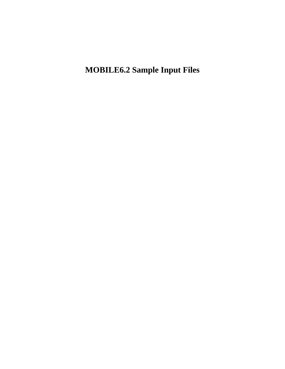**MOBILE6.2 Sample Input Files**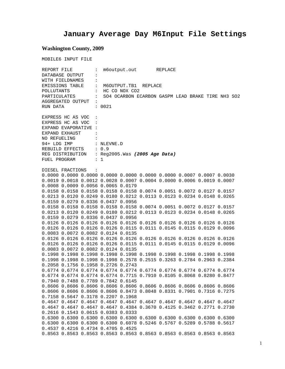# **January Average Day M6Input File Settings**

## **Washington County, 2009**

|                                                                                                      | MOBILE6 INPUT FILE   |                                                 |                                                                |  |  |                                                                                           |  |  |                                                                  |
|------------------------------------------------------------------------------------------------------|----------------------|-------------------------------------------------|----------------------------------------------------------------|--|--|-------------------------------------------------------------------------------------------|--|--|------------------------------------------------------------------|
| $REPORT$ $FILE$ $\qquad \qquad :$<br>:<br>DATABASE OUTPUT<br>WITH FIELDNAMES<br>$\ddot{\phantom{a}}$ |                      |                                                 | m6output.out REPLACE<br>EMISSIONS TABLE : M6OUTPUT.TB1 REPLACE |  |  |                                                                                           |  |  |                                                                  |
| POLLUTANTS                                                                                           |                      | : HC CO NOX CO2                                 |                                                                |  |  |                                                                                           |  |  |                                                                  |
|                                                                                                      |                      |                                                 |                                                                |  |  |                                                                                           |  |  | PARTICULATES : SO4 OCARBON ECARBON GASPM LEAD BRAKE TIRE NH3 SO2 |
|                                                                                                      |                      | AGGREGATED OUTPUT :                             |                                                                |  |  |                                                                                           |  |  |                                                                  |
| RUN DATA                                                                                             |                      |                                                 | : 0021                                                         |  |  |                                                                                           |  |  |                                                                  |
|                                                                                                      |                      |                                                 |                                                                |  |  |                                                                                           |  |  |                                                                  |
|                                                                                                      | EXPRESS HC AS VOC :  |                                                 |                                                                |  |  |                                                                                           |  |  |                                                                  |
|                                                                                                      | EXPRESS HC AS VOC :  |                                                 |                                                                |  |  |                                                                                           |  |  |                                                                  |
|                                                                                                      | EXPAND EVAPORATIVE : |                                                 |                                                                |  |  |                                                                                           |  |  |                                                                  |
|                                                                                                      | EXPAND EXHAUST       |                                                 |                                                                |  |  |                                                                                           |  |  |                                                                  |
| NO REFUELING                                                                                         |                      |                                                 |                                                                |  |  |                                                                                           |  |  |                                                                  |
|                                                                                                      |                      | 94+ LDG IMP : NLEVNE.D                          |                                                                |  |  |                                                                                           |  |  |                                                                  |
|                                                                                                      |                      |                                                 |                                                                |  |  |                                                                                           |  |  |                                                                  |
|                                                                                                      |                      | REBUILD EFFECTS : 0.9                           |                                                                |  |  |                                                                                           |  |  |                                                                  |
|                                                                                                      |                      | REG DISTRIBUTION : Reg2005. Was (2005 Age Data) |                                                                |  |  |                                                                                           |  |  |                                                                  |
| FUEL PROGRAM                                                                                         |                      | $\cdots$                                        |                                                                |  |  |                                                                                           |  |  |                                                                  |
|                                                                                                      |                      |                                                 |                                                                |  |  |                                                                                           |  |  |                                                                  |
|                                                                                                      | DIESEL FRACTIONS     |                                                 |                                                                |  |  |                                                                                           |  |  |                                                                  |
|                                                                                                      |                      |                                                 |                                                                |  |  | $0.0000$ $0.0000$ $0.0000$ $0.0000$ $0.0000$ $0.0000$ $0.0000$ $0.0007$ $0.0007$ $0.0030$ |  |  |                                                                  |
|                                                                                                      |                      |                                                 |                                                                |  |  | 0.0019 0.0018 0.0012 0.0028 0.0007 0.0004 0.0000 0.0006 0.0019 0.0007                     |  |  |                                                                  |
|                                                                                                      |                      | 0.0008 0.0009 0.0056 0.0065 0.0179              |                                                                |  |  |                                                                                           |  |  |                                                                  |
|                                                                                                      |                      |                                                 |                                                                |  |  | 0.0158 0.0158 0.0158 0.0158 0.0158 0.0074 0.0051 0.0072 0.0127 0.0157                     |  |  |                                                                  |
|                                                                                                      |                      |                                                 |                                                                |  |  | 0.0213 0.0120 0.0249 0.0180 0.0212 0.0113 0.0123 0.0234 0.0148 0.0265                     |  |  |                                                                  |
|                                                                                                      |                      | 0.0159 0.0279 0.0336 0.0437 0.0956              |                                                                |  |  |                                                                                           |  |  |                                                                  |
|                                                                                                      |                      |                                                 |                                                                |  |  | 0.0158  0.0158  0.0158  0.0158  0.0158  0.0074  0.0051  0.0072  0.0127  0.0157            |  |  |                                                                  |
|                                                                                                      |                      |                                                 |                                                                |  |  | 0.0213 0.0120 0.0249 0.0180 0.0212 0.0113 0.0123 0.0234 0.0148 0.0265                     |  |  |                                                                  |
|                                                                                                      |                      | 0.0159 0.0279 0.0336 0.0437 0.0956              |                                                                |  |  |                                                                                           |  |  |                                                                  |
|                                                                                                      |                      |                                                 |                                                                |  |  | 0.0126 0.0126 0.0126 0.0126 0.0126 0.0126 0.0126 0.0126 0.0126 0.0126                     |  |  |                                                                  |
|                                                                                                      |                      |                                                 |                                                                |  |  | 0.0126 0.0126 0.0126 0.0126 0.0115 0.0111 0.0145 0.0115 0.0129 0.0096                     |  |  |                                                                  |
|                                                                                                      |                      | 0.0083 0.0072 0.0082 0.0124 0.0135              |                                                                |  |  |                                                                                           |  |  |                                                                  |
|                                                                                                      |                      |                                                 |                                                                |  |  | 0.0126 0.0126 0.0126 0.0126 0.0126 0.0126 0.0126 0.0126 0.0126 0.0126                     |  |  |                                                                  |
|                                                                                                      |                      |                                                 |                                                                |  |  | 0.0126 0.0126 0.0126 0.0126 0.0115 0.0111 0.0145 0.0115 0.0129 0.0096                     |  |  |                                                                  |
|                                                                                                      |                      | 0.0083 0.0072 0.0082 0.0124 0.0135              |                                                                |  |  |                                                                                           |  |  |                                                                  |
|                                                                                                      |                      |                                                 |                                                                |  |  | 0.1998 0.1998 0.1998 0.1998 0.1998 0.1998 0.1998 0.1998 0.1998 0.1998                     |  |  |                                                                  |
|                                                                                                      |                      |                                                 |                                                                |  |  | 0.1998 0.1998 0.1998 0.1998 0.2578 0.2515 0.3263 0.2784 0.2963 0.2384                     |  |  |                                                                  |
|                                                                                                      |                      | 0.2058 0.1756 0.1958 0.2726 0.2743              |                                                                |  |  |                                                                                           |  |  |                                                                  |
|                                                                                                      |                      |                                                 |                                                                |  |  | 0.6774 0.6774 0.6774 0.6774 0.6774 0.6774 0.6774 0.6774 0.6774 0.6774                     |  |  |                                                                  |
|                                                                                                      |                      |                                                 |                                                                |  |  | 0.6774 0.6774 0.6774 0.6774 0.7715 0.7910 0.8105 0.8068 0.8280 0.8477                     |  |  |                                                                  |
|                                                                                                      |                      | 0.7940 0.7488 0.7789 0.7842 0.6145              |                                                                |  |  |                                                                                           |  |  |                                                                  |
|                                                                                                      |                      |                                                 |                                                                |  |  |                                                                                           |  |  |                                                                  |
|                                                                                                      |                      |                                                 |                                                                |  |  | 0.8606 0.8606 0.8606 0.8606 0.8606 0.8606 0.8606 0.8606 0.8606 0.8606                     |  |  |                                                                  |
|                                                                                                      |                      |                                                 |                                                                |  |  | 0.8606 0.8606 0.8606 0.8606 0.8473 0.8048 0.8331 0.7901 0.7316 0.7275                     |  |  |                                                                  |
|                                                                                                      |                      | 0.7158 0.5647 0.3178 0.2207 0.1968              |                                                                |  |  |                                                                                           |  |  |                                                                  |
|                                                                                                      |                      |                                                 |                                                                |  |  | 0.4647 0.4647 0.4647 0.4647 0.4647 0.4647 0.4647 0.4647 0.4647 0.4647                     |  |  |                                                                  |
|                                                                                                      |                      |                                                 |                                                                |  |  | 0.4647 0.4647 0.4647 0.4647 0.4384 0.3670 0.4125 0.3462 0.2771 0.2730                     |  |  |                                                                  |
|                                                                                                      |                      | 0.2616 0.1543 0.0615 0.0383 0.0333              |                                                                |  |  |                                                                                           |  |  |                                                                  |
|                                                                                                      |                      |                                                 |                                                                |  |  | 0.6300 0.6300 0.6300 0.6300 0.6300 0.6300 0.6300 0.6300 0.6300 0.6300                     |  |  |                                                                  |
|                                                                                                      |                      |                                                 |                                                                |  |  | 0.6300 0.6300 0.6300 0.6300 0.6078 0.5246 0.5767 0.5289 0.5788 0.5617                     |  |  |                                                                  |
|                                                                                                      |                      | 0.4537 0.4216 0.4734 0.4705 0.4525              |                                                                |  |  |                                                                                           |  |  |                                                                  |
|                                                                                                      |                      |                                                 |                                                                |  |  | 0.8563 0.8563 0.8563 0.8563 0.8563 0.8563 0.8563 0.8563 0.8563 0.8563                     |  |  |                                                                  |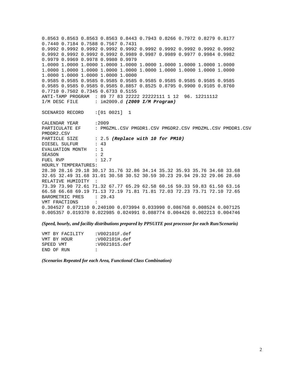0.8563 0.8563 0.8563 0.8563 0.8443 0.7943 0.8266 0.7972 0.8279 0.8177 0.7440 0.7184 0.7588 0.7567 0.7431 0.9992 0.9992 0.9992 0.9992 0.9992 0.9992 0.9992 0.9992 0.9992 0.9992 0.9992 0.9992 0.9992 0.9992 0.9989 0.9987 0.9989 0.9977 0.9984 0.9982 0.9979 0.9969 0.9978 0.9980 0.9979 1.0000 1.0000 1.0000 1.0000 1.0000 1.0000 1.0000 1.0000 1.0000 1.0000 1.0000 1.0000 1.0000 1.0000 1.0000 1.0000 1.0000 1.0000 1.0000 1.0000 1.0000 1.0000 1.0000 1.0000 1.0000 0.9585 0.9585 0.9585 0.9585 0.9585 0.9585 0.9585 0.9585 0.9585 0.9585 0.9585 0.9585 0.9585 0.9585 0.8857 0.8525 0.8795 0.9900 0.9105 0.8760 0.7710 0.7502 0.7345 0.6733 0.5155 ANTI-TAMP PROGRAM : 89 77 83 22222 22222111 1 12 96. 12211112 I/M DESC FILE : im2009.d *(2009 I/M Program)* SCENARIO RECORD :[01 0021] 1 CALENDAR YEAR :2009<br>PARTICULATE EF : PMG : PMGZML.CSV PMGDR1.CSV PMGDR2.CSV PMDZML.CSV PMDDR1.CSV PMDDR2.CSV PARTICLE SIZE : 2.5 *(Replace with 10 for PM10)*<br>DIESEL SULFUR : 43 DIESEL SULFUR EVALUATION MONTH : 1 SEASON : 2 FUEL RVP : 12.7 HOURLY TEMPERATURES: 28.30 28.16 29.18 30.17 31.76 32.86 34.14 35.32 35.93 35.76 34.68 33.68 32.65 32.49 31.68 31.01 30.58 30.52 30.59 30.23 29.94 29.32 29.06 28.60 RELATIVE HUMIDITY : 73.39 73.90 72.61 71.32 67.77 65.29 62.58 60.16 59.33 59.83 61.50 63.16 66.58 66.68 69.19 71.13 72.19 71.81 71.81 72.03 72.23 73.71 72.10 72.65 BAROMETRIC PRES : 29.43 VMT FRACTIONS : 0.304527 0.072110 0.240100 0.073994 0.033990 0.086768 0.008524 0.007125 0.005357 0.019370 0.022985 0.024991 0.088774 0.004426 0.002213 0.004746

*(Speed, hourly, and facility distributions prepared by PPSUITE post processor for each Run/Scenario)* 

| VMT BY FACILITY | :V002101F.def |
|-----------------|---------------|
| VMT BY HOUR     | :V002101H.def |
| SPEED VMT       | :V002101S.def |
| END OF RUN      | $\cdot$ :     |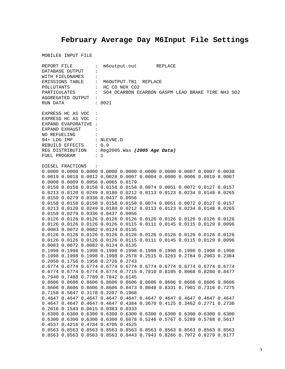# **February Average Day M6Input File Settings**

|                                   | REPORT FILE          |                                                 |                                        |  | m6output.out REPLACE |  |  |                                                                                           |                                                                  |  |
|-----------------------------------|----------------------|-------------------------------------------------|----------------------------------------|--|----------------------|--|--|-------------------------------------------------------------------------------------------|------------------------------------------------------------------|--|
| DATABASE OUTPUT<br>$\ddot{\cdot}$ |                      |                                                 |                                        |  |                      |  |  |                                                                                           |                                                                  |  |
|                                   | WITH FIELDNAMES      | $\ddot{\cdot}$                                  |                                        |  |                      |  |  |                                                                                           |                                                                  |  |
|                                   |                      |                                                 | EMISSIONS TABLE : M6OUTPUT.TB1 REPLACE |  |                      |  |  |                                                                                           |                                                                  |  |
| POLLUTANTS                        |                      |                                                 | $\vdots$ HC CO NOX CO2                 |  |                      |  |  |                                                                                           |                                                                  |  |
|                                   |                      |                                                 |                                        |  |                      |  |  |                                                                                           | PARTICULATES : SO4 OCARBON ECARBON GASPM LEAD BRAKE TIRE NH3 SO2 |  |
|                                   |                      | AGGREGATED OUTPUT :                             |                                        |  |                      |  |  |                                                                                           |                                                                  |  |
|                                   |                      |                                                 |                                        |  |                      |  |  |                                                                                           |                                                                  |  |
| RUN DATA                          |                      |                                                 | : 0021                                 |  |                      |  |  |                                                                                           |                                                                  |  |
|                                   | EXPRESS HC AS VOC :  |                                                 |                                        |  |                      |  |  |                                                                                           |                                                                  |  |
|                                   | EXPRESS HC AS VOC :  |                                                 |                                        |  |                      |  |  |                                                                                           |                                                                  |  |
|                                   | EXPAND EVAPORATIVE : |                                                 |                                        |  |                      |  |  |                                                                                           |                                                                  |  |
|                                   |                      |                                                 |                                        |  |                      |  |  |                                                                                           |                                                                  |  |
|                                   | EXPAND EXHAUST       |                                                 |                                        |  |                      |  |  |                                                                                           |                                                                  |  |
|                                   | NO REFUELING :       |                                                 |                                        |  |                      |  |  |                                                                                           |                                                                  |  |
|                                   |                      | 94+ LDG IMP : NLEVNE.D                          |                                        |  |                      |  |  |                                                                                           |                                                                  |  |
|                                   |                      | REBUILD EFFECTS : 0.9                           |                                        |  |                      |  |  |                                                                                           |                                                                  |  |
|                                   |                      | REG DISTRIBUTION : Reg2005. Was (2005 Age Data) |                                        |  |                      |  |  |                                                                                           |                                                                  |  |
| FUEL PROGRAM                      |                      | $\cdots$ $\cdots$                               |                                        |  |                      |  |  |                                                                                           |                                                                  |  |
|                                   |                      |                                                 |                                        |  |                      |  |  |                                                                                           |                                                                  |  |
|                                   | DIESEL FRACTIONS     | $\sim$ $\sim$                                   |                                        |  |                      |  |  |                                                                                           |                                                                  |  |
|                                   |                      |                                                 |                                        |  |                      |  |  | $0.0000$ $0.0000$ $0.0000$ $0.0000$ $0.0000$ $0.0000$ $0.0000$ $0.0007$ $0.0007$ $0.0030$ |                                                                  |  |
|                                   |                      |                                                 |                                        |  |                      |  |  | 0.0019 0.0018 0.0012 0.0028 0.0007 0.0004 0.0000 0.0006 0.0019 0.0007                     |                                                                  |  |
|                                   |                      | 0.0008 0.0009 0.0056 0.0065 0.0179              |                                        |  |                      |  |  |                                                                                           |                                                                  |  |
|                                   |                      |                                                 |                                        |  |                      |  |  | 0.0158 0.0158 0.0158 0.0158 0.0158 0.0074 0.0051 0.0072 0.0127 0.0157                     |                                                                  |  |
|                                   |                      |                                                 |                                        |  |                      |  |  | 0.0213 0.0120 0.0249 0.0180 0.0212 0.0113 0.0123 0.0234 0.0148 0.0265                     |                                                                  |  |
|                                   |                      | 0.0159 0.0279 0.0336 0.0437 0.0956              |                                        |  |                      |  |  |                                                                                           |                                                                  |  |
|                                   |                      |                                                 |                                        |  |                      |  |  | 0.0158 0.0158 0.0158 0.0158 0.0158 0.0074 0.0051 0.0072 0.0127 0.0157                     |                                                                  |  |
|                                   |                      |                                                 |                                        |  |                      |  |  | 0.0213 0.0120 0.0249 0.0180 0.0212 0.0113 0.0123 0.0234 0.0148 0.0265                     |                                                                  |  |
|                                   |                      | 0.0159 0.0279 0.0336 0.0437 0.0956              |                                        |  |                      |  |  |                                                                                           |                                                                  |  |
|                                   |                      |                                                 |                                        |  |                      |  |  | 0.0126 0.0126 0.0126 0.0126 0.0126 0.0126 0.0126 0.0126 0.0126 0.0126                     |                                                                  |  |
|                                   |                      |                                                 |                                        |  |                      |  |  | 0.0126 0.0126 0.0126 0.0126 0.0115 0.0111 0.0145 0.0115 0.0129 0.0096                     |                                                                  |  |
|                                   |                      | 0.0083 0.0072 0.0082 0.0124 0.0135              |                                        |  |                      |  |  |                                                                                           |                                                                  |  |
|                                   |                      |                                                 |                                        |  |                      |  |  | 0.0126 0.0126 0.0126 0.0126 0.0126 0.0126 0.0126 0.0126 0.0126 0.0126                     |                                                                  |  |
|                                   |                      |                                                 |                                        |  |                      |  |  | 0.0126 0.0126 0.0126 0.0126 0.0115 0.0111 0.0145 0.0115 0.0129 0.0096                     |                                                                  |  |
|                                   |                      | 0.0083 0.0072 0.0082 0.0124 0.0135              |                                        |  |                      |  |  |                                                                                           |                                                                  |  |
|                                   |                      |                                                 |                                        |  |                      |  |  | 0.1998 0.1998 0.1998 0.1998 0.1998 0.1998 0.1998 0.1998 0.1998 0.1998                     |                                                                  |  |
|                                   |                      |                                                 |                                        |  |                      |  |  | 0.1998  0.1998  0.1998  0.1998  0.2578  0.2515  0.3263  0.2784  0.2963  0.2384            |                                                                  |  |
|                                   |                      | 0.2058 0.1756 0.1958 0.2726 0.2743              |                                        |  |                      |  |  |                                                                                           |                                                                  |  |
|                                   |                      |                                                 |                                        |  |                      |  |  | 0.6774 0.6774 0.6774 0.6774 0.6774 0.6774 0.6774 0.6774 0.6774 0.6774                     |                                                                  |  |
|                                   |                      |                                                 |                                        |  |                      |  |  | 0.6774 0.6774 0.6774 0.6774 0.7715 0.7910 0.8105 0.8068 0.8280 0.8477                     |                                                                  |  |
|                                   |                      | 0.7940 0.7488 0.7789 0.7842 0.6145              |                                        |  |                      |  |  |                                                                                           |                                                                  |  |
|                                   |                      |                                                 |                                        |  |                      |  |  | 0.8606 0.8606 0.8606 0.8606 0.8606 0.8606 0.8606 0.8606 0.8606 0.8606                     |                                                                  |  |
|                                   |                      |                                                 |                                        |  |                      |  |  | 0.8606 0.8606 0.8606 0.8606 0.8473 0.8048 0.8331 0.7901 0.7316 0.7275                     |                                                                  |  |
|                                   |                      |                                                 |                                        |  |                      |  |  |                                                                                           |                                                                  |  |
|                                   |                      | 0.7158 0.5647 0.3178 0.2207 0.1968              |                                        |  |                      |  |  |                                                                                           |                                                                  |  |
|                                   |                      |                                                 |                                        |  |                      |  |  | 0.4647 0.4647 0.4647 0.4647 0.4647 0.4647 0.4647 0.4647 0.4647 0.4647                     |                                                                  |  |
|                                   |                      |                                                 |                                        |  |                      |  |  | 0.4647 0.4647 0.4647 0.4647 0.4384 0.3670 0.4125 0.3462 0.2771 0.2730                     |                                                                  |  |
|                                   |                      | 0.2616 0.1543 0.0615 0.0383 0.0333              |                                        |  |                      |  |  |                                                                                           |                                                                  |  |
|                                   |                      |                                                 |                                        |  |                      |  |  | 0.6300 0.6300 0.6300 0.6300 0.6300 0.6300 0.6300 0.6300 0.6300 0.6300                     |                                                                  |  |
|                                   |                      |                                                 |                                        |  |                      |  |  | 0.6300 0.6300 0.6300 0.6300 0.6078 0.5246 0.5767 0.5289 0.5788 0.5617                     |                                                                  |  |
|                                   |                      | 0.4537 0.4216 0.4734 0.4705 0.4525              |                                        |  |                      |  |  |                                                                                           |                                                                  |  |
|                                   |                      |                                                 |                                        |  |                      |  |  | 0.8563 0.8563 0.8563 0.8563 0.8563 0.8563 0.8563 0.8563 0.8563 0.8563                     |                                                                  |  |
|                                   |                      |                                                 |                                        |  |                      |  |  | 0.8563 0.8563 0.8563 0.8563 0.8443 0.7943 0.8266 0.7972 0.8279 0.8177                     |                                                                  |  |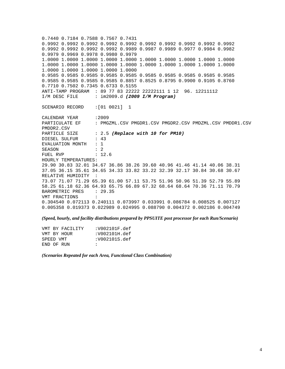0.7440 0.7184 0.7588 0.7567 0.7431 0.9992 0.9992 0.9992 0.9992 0.9992 0.9992 0.9992 0.9992 0.9992 0.9992 0.9992 0.9992 0.9992 0.9992 0.9989 0.9987 0.9989 0.9977 0.9984 0.9982 0.9979 0.9969 0.9978 0.9980 0.9979 1.0000 1.0000 1.0000 1.0000 1.0000 1.0000 1.0000 1.0000 1.0000 1.0000 1.0000 1.0000 1.0000 1.0000 1.0000 1.0000 1.0000 1.0000 1.0000 1.0000 1.0000 1.0000 1.0000 1.0000 1.0000 0.9585 0.9585 0.9585 0.9585 0.9585 0.9585 0.9585 0.9585 0.9585 0.9585 0.9585 0.9585 0.9585 0.9585 0.8857 0.8525 0.8795 0.9900 0.9105 0.8760 0.7710 0.7502 0.7345 0.6733 0.5155 ANTI-TAMP PROGRAM : 89 77 83 22222 22222111 1 12 96. 12211112 I/M DESC FILE : im2009.d *(2009 I/M Program)* SCENARIO RECORD :[01 0021] 1 CALENDAR YEAR : 2009 PARTICULATE EF : PMGZML.CSV PMGDR1.CSV PMGDR2.CSV PMDZML.CSV PMDDR1.CSV PMDDR2.CSV PARTICLE SIZE : 2.5 (Replace with 10 for PM10) DIESEL SULFUR : 43 EVALUATION MONTH : 1 SEASON : 2 FUEL RVP : 12.6 HOURLY TEMPERATURES: 29.90 30.83 32.01 34.67 36.86 38.26 39.60 40.96 41.46 41.14 40.06 38.31 37.05 36.15 35.61 34.65 34.33 33.82 33.22 32.39 32.17 30.84 30.68 30.67 RELATIVE HUMIDITY : 73.07 71.07 71.29 65.39 61.00 57.11 53.75 51.96 50.96 51.39 52.79 55.89 58.25 61.18 62.36 64.93 65.75 66.89 67.32 68.64 68.64 70.36 71.11 70.79 BAROMETRIC PRES : 29.35 VMT FRACTIONS : 0.304540 0.072113 0.240111 0.073997 0.033991 0.086784 0.008525 0.007127 0.005358 0.019373 0.022989 0.024995 0.088790 0.004372 0.002186 0.004749

*(Speed, hourly, and facility distributions prepared by PPSUITE post processor for each Run/Scenario)* 

| VMT BY FACILITY | :V002101F.def |
|-----------------|---------------|
| VMT BY HOUR     | :V002101H.def |
| SPEED VMT       | :V002101S.def |
| END OF RIN      | $\mathbf{r}$  |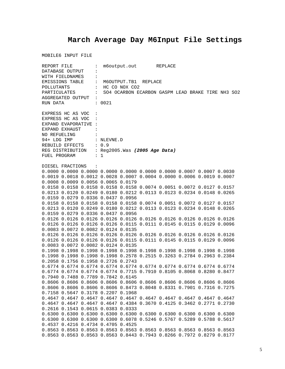# **March Average Day M6Input File Settings**

|                                   | REPORT FILE      |                       |                                                                   | m6output.out REPLACE |  |  |  |                                                                                           |                                                   |  |
|-----------------------------------|------------------|-----------------------|-------------------------------------------------------------------|----------------------|--|--|--|-------------------------------------------------------------------------------------------|---------------------------------------------------|--|
| DATABASE OUTPUT<br>$\ddot{\cdot}$ |                  |                       |                                                                   |                      |  |  |  |                                                                                           |                                                   |  |
|                                   | WITH FIELDNAMES  | $\ddot{\cdot}$        |                                                                   |                      |  |  |  |                                                                                           |                                                   |  |
|                                   |                  |                       | EMISSIONS TABLE : M6OUTPUT.TB1 REPLACE                            |                      |  |  |  |                                                                                           |                                                   |  |
| POLLUTANTS                        |                  |                       | $\vdots$ HC CO NOX CO2                                            |                      |  |  |  |                                                                                           |                                                   |  |
|                                   |                  | PARTICULATES :        |                                                                   |                      |  |  |  |                                                                                           | SO4 OCARBON ECARBON GASPM LEAD BRAKE TIRE NH3 SO2 |  |
|                                   |                  | AGGREGATED OUTPUT :   |                                                                   |                      |  |  |  |                                                                                           |                                                   |  |
| RUN DATA                          |                  |                       | : 0021                                                            |                      |  |  |  |                                                                                           |                                                   |  |
|                                   |                  |                       |                                                                   |                      |  |  |  |                                                                                           |                                                   |  |
|                                   |                  | EXPRESS HC AS VOC :   |                                                                   |                      |  |  |  |                                                                                           |                                                   |  |
|                                   |                  | EXPRESS HC AS VOC :   |                                                                   |                      |  |  |  |                                                                                           |                                                   |  |
|                                   |                  | EXPAND EVAPORATIVE :  |                                                                   |                      |  |  |  |                                                                                           |                                                   |  |
|                                   | EXPAND EXHAUST   | <b>Contract</b>       |                                                                   |                      |  |  |  |                                                                                           |                                                   |  |
|                                   | NO REFUELING :   |                       |                                                                   |                      |  |  |  |                                                                                           |                                                   |  |
|                                   |                  |                       | 94+ LDG IMP : NLEVNE.D                                            |                      |  |  |  |                                                                                           |                                                   |  |
|                                   |                  |                       |                                                                   |                      |  |  |  |                                                                                           |                                                   |  |
|                                   |                  | REBUILD EFFECTS : 0.9 |                                                                   |                      |  |  |  |                                                                                           |                                                   |  |
| FUEL PROGRAM                      |                  |                       | REG DISTRIBUTION : Reg2005. Was (2005 Age Data)<br>$\therefore$ 1 |                      |  |  |  |                                                                                           |                                                   |  |
|                                   |                  |                       |                                                                   |                      |  |  |  |                                                                                           |                                                   |  |
|                                   | DIESEL FRACTIONS | $\sim$ $\sim$         |                                                                   |                      |  |  |  |                                                                                           |                                                   |  |
|                                   |                  |                       |                                                                   |                      |  |  |  | $0.0000$ $0.0000$ $0.0000$ $0.0000$ $0.0000$ $0.0000$ $0.0000$ $0.0007$ $0.0007$ $0.0030$ |                                                   |  |
|                                   |                  |                       |                                                                   |                      |  |  |  | 0.0019 0.0018 0.0012 0.0028 0.0007 0.0004 0.0000 0.0006 0.0019 0.0007                     |                                                   |  |
|                                   |                  |                       | 0.0008 0.0009 0.0056 0.0065 0.0179                                |                      |  |  |  |                                                                                           |                                                   |  |
|                                   |                  |                       |                                                                   |                      |  |  |  |                                                                                           |                                                   |  |
|                                   |                  |                       |                                                                   |                      |  |  |  | 0.0158 0.0158 0.0158 0.0158 0.0158 0.0074 0.0051 0.0072 0.0127 0.0157                     |                                                   |  |
|                                   |                  |                       |                                                                   |                      |  |  |  | 0.0213 0.0120 0.0249 0.0180 0.0212 0.0113 0.0123 0.0234 0.0148 0.0265                     |                                                   |  |
|                                   |                  |                       | 0.0159 0.0279 0.0336 0.0437 0.0956                                |                      |  |  |  |                                                                                           |                                                   |  |
|                                   |                  |                       |                                                                   |                      |  |  |  | 0.0158 0.0158 0.0158 0.0158 0.0158 0.0074 0.0051 0.0072 0.0127 0.0157                     |                                                   |  |
|                                   |                  |                       |                                                                   |                      |  |  |  | 0.0213 0.0120 0.0249 0.0180 0.0212 0.0113 0.0123 0.0234 0.0148 0.0265                     |                                                   |  |
|                                   |                  |                       | 0.0159 0.0279 0.0336 0.0437 0.0956                                |                      |  |  |  |                                                                                           |                                                   |  |
|                                   |                  |                       |                                                                   |                      |  |  |  | 0.0126 0.0126 0.0126 0.0126 0.0126 0.0126 0.0126 0.0126 0.0126 0.0126                     |                                                   |  |
|                                   |                  |                       |                                                                   |                      |  |  |  | 0.0126 0.0126 0.0126 0.0126 0.0115 0.0111 0.0145 0.0115 0.0129 0.0096                     |                                                   |  |
|                                   |                  |                       | 0.0083 0.0072 0.0082 0.0124 0.0135                                |                      |  |  |  |                                                                                           |                                                   |  |
|                                   |                  |                       |                                                                   |                      |  |  |  | 0.0126 0.0126 0.0126 0.0126 0.0126 0.0126 0.0126 0.0126 0.0126 0.0126                     |                                                   |  |
|                                   |                  |                       |                                                                   |                      |  |  |  | 0.0126 0.0126 0.0126 0.0126 0.0115 0.0111 0.0145 0.0115 0.0129 0.0096                     |                                                   |  |
|                                   |                  |                       | 0.0083 0.0072 0.0082 0.0124 0.0135                                |                      |  |  |  |                                                                                           |                                                   |  |
|                                   |                  |                       |                                                                   |                      |  |  |  | 0.1998 0.1998 0.1998 0.1998 0.1998 0.1998 0.1998 0.1998 0.1998 0.1998                     |                                                   |  |
|                                   |                  |                       |                                                                   |                      |  |  |  | 0.1998  0.1998  0.1998  0.1998  0.2578  0.2515  0.3263  0.2784  0.2963  0.2384            |                                                   |  |
|                                   |                  |                       | 0.2058 0.1756 0.1958 0.2726 0.2743                                |                      |  |  |  |                                                                                           |                                                   |  |
|                                   |                  |                       |                                                                   |                      |  |  |  | 0.6774 0.6774 0.6774 0.6774 0.6774 0.6774 0.6774 0.6774 0.6774 0.6774                     |                                                   |  |
|                                   |                  |                       |                                                                   |                      |  |  |  | 0.6774 0.6774 0.6774 0.6774 0.7715 0.7910 0.8105 0.8068 0.8280 0.8477                     |                                                   |  |
|                                   |                  |                       | 0.7940 0.7488 0.7789 0.7842 0.6145                                |                      |  |  |  |                                                                                           |                                                   |  |
|                                   |                  |                       |                                                                   |                      |  |  |  | 0.8606 0.8606 0.8606 0.8606 0.8606 0.8606 0.8606 0.8606 0.8606 0.8606                     |                                                   |  |
|                                   |                  |                       |                                                                   |                      |  |  |  | 0.8606 0.8606 0.8606 0.8606 0.8473 0.8048 0.8331 0.7901 0.7316 0.7275                     |                                                   |  |
|                                   |                  |                       | 0.7158 0.5647 0.3178 0.2207 0.1968                                |                      |  |  |  |                                                                                           |                                                   |  |
|                                   |                  |                       |                                                                   |                      |  |  |  | 0.4647 0.4647 0.4647 0.4647 0.4647 0.4647 0.4647 0.4647 0.4647 0.4647                     |                                                   |  |
|                                   |                  |                       |                                                                   |                      |  |  |  | 0.4647 0.4647 0.4647 0.4647 0.4384 0.3670 0.4125 0.3462 0.2771 0.2730                     |                                                   |  |
|                                   |                  |                       | 0.2616 0.1543 0.0615 0.0383 0.0333                                |                      |  |  |  |                                                                                           |                                                   |  |
|                                   |                  |                       |                                                                   |                      |  |  |  | 0.6300 0.6300 0.6300 0.6300 0.6300 0.6300 0.6300 0.6300 0.6300 0.6300                     |                                                   |  |
|                                   |                  |                       |                                                                   |                      |  |  |  | 0.6300 0.6300 0.6300 0.6300 0.6078 0.5246 0.5767 0.5289 0.5788 0.5617                     |                                                   |  |
|                                   |                  |                       | 0.4537 0.4216 0.4734 0.4705 0.4525                                |                      |  |  |  |                                                                                           |                                                   |  |
|                                   |                  |                       |                                                                   |                      |  |  |  | 0.8563 0.8563 0.8563 0.8563 0.8563 0.8563 0.8563 0.8563 0.8563 0.8563                     |                                                   |  |
|                                   |                  |                       |                                                                   |                      |  |  |  | 0.8563 0.8563 0.8563 0.8563 0.8443 0.7943 0.8266 0.7972 0.8279 0.8177                     |                                                   |  |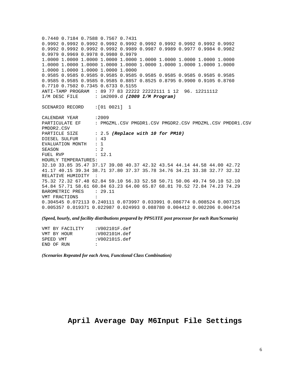0.7440 0.7184 0.7588 0.7567 0.7431 0.9992 0.9992 0.9992 0.9992 0.9992 0.9992 0.9992 0.9992 0.9992 0.9992 0.9992 0.9992 0.9992 0.9992 0.9989 0.9987 0.9989 0.9977 0.9984 0.9982 0.9979 0.9969 0.9978 0.9980 0.9979 1.0000 1.0000 1.0000 1.0000 1.0000 1.0000 1.0000 1.0000 1.0000 1.0000 1.0000 1.0000 1.0000 1.0000 1.0000 1.0000 1.0000 1.0000 1.0000 1.0000 1.0000 1.0000 1.0000 1.0000 1.0000 0.9585 0.9585 0.9585 0.9585 0.9585 0.9585 0.9585 0.9585 0.9585 0.9585 0.9585 0.9585 0.9585 0.9585 0.8857 0.8525 0.8795 0.9900 0.9105 0.8760 0.7710 0.7502 0.7345 0.6733 0.5155 ANTI-TAMP PROGRAM : 89 77 83 22222 22222111 1 12 96. 12211112 I/M DESC FILE : im2009.d *(2009 I/M Program)* SCENARIO RECORD :[01 0021] 1 CALENDAR YEAR :2009<br>PARTICULATE EF : PMG : PMGZML.CSV PMGDR1.CSV PMGDR2.CSV PMDZML.CSV PMDDR1.CSV PMDDR2.CSV PARTICLE SIZE : 2.5 (Replace with 10 for PM10) DIESEL SULFUR : 43 EVALUATION MONTH : 1 SEASON : 2 FUEL RVP : 12.1 HOURLY TEMPERATURES: 32.10 33.85 35.47 37.17 39.08 40.37 42.32 43.54 44.14 44.58 44.00 42.72 41.17 40.15 39.34 38.71 37.80 37.37 35.78 34.76 34.21 33.38 32.77 32.32 RELATIVE HUMIDITY : 75.32 72.32 67.48 62.84 59.10 56.33 52.58 50.71 50.06 49.74 50.10 52.10 54.84 57.71 58.61 60.84 63.23 64.00 65.87 68.81 70.52 72.84 74.23 74.29 BAROMETRIC PRES : 29.11 VMT FRACTIONS : 0.304545 0.072113 0.240111 0.073997 0.033991 0.086774 0.008524 0.007125 0.005357 0.019371 0.022987 0.024993 0.088780 0.004412 0.002206 0.004714

*(Speed, hourly, and facility distributions prepared by PPSUITE post processor for each Run/Scenario)* 

| VMT BY FACILITY | :V002101F.def |
|-----------------|---------------|
| VMT BY HOUR     | :V002101H.def |
| SPEED VMT       | :V002101S.def |
| END OF RIN      | $\mathbf{r}$  |

*(Scenarios Repeated for each Area, Functional Class Combination)*

### **April Average Day M6Input File Settings**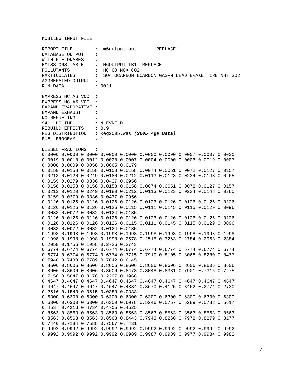| REPORT FILE          |                  |                                                                                             |                      | m6output.out REPLACE |  |                                                                                           |  |  |                                                                  |  |
|----------------------|------------------|---------------------------------------------------------------------------------------------|----------------------|----------------------|--|-------------------------------------------------------------------------------------------|--|--|------------------------------------------------------------------|--|
|                      | DATABASE OUTPUT  | $\ddot{\phantom{a}}$                                                                        |                      |                      |  |                                                                                           |  |  |                                                                  |  |
| WITH FIELDNAMES      |                  |                                                                                             |                      |                      |  |                                                                                           |  |  |                                                                  |  |
| EMISSIONS TABLE :    |                  |                                                                                             | M6OUTPUT.TB1 REPLACE |                      |  |                                                                                           |  |  |                                                                  |  |
| POLLUTANTS           |                  |                                                                                             | : HC CO NOX CO2      |                      |  |                                                                                           |  |  |                                                                  |  |
|                      |                  |                                                                                             |                      |                      |  |                                                                                           |  |  | PARTICULATES : SO4 OCARBON ECARBON GASPM LEAD BRAKE TIRE NH3 SO2 |  |
|                      |                  | AGGREGATED OUTPUT :                                                                         |                      |                      |  |                                                                                           |  |  |                                                                  |  |
| RUN DATA             |                  |                                                                                             | : 0021               |                      |  |                                                                                           |  |  |                                                                  |  |
|                      |                  |                                                                                             |                      |                      |  |                                                                                           |  |  |                                                                  |  |
|                      |                  |                                                                                             |                      |                      |  |                                                                                           |  |  |                                                                  |  |
|                      |                  | EXPRESS HC AS VOC :                                                                         |                      |                      |  |                                                                                           |  |  |                                                                  |  |
|                      |                  | EXPRESS HC AS VOC :                                                                         |                      |                      |  |                                                                                           |  |  |                                                                  |  |
| EXPAND EVAPORATIVE : |                  |                                                                                             |                      |                      |  |                                                                                           |  |  |                                                                  |  |
| EXPAND EXHAUST       |                  |                                                                                             |                      |                      |  |                                                                                           |  |  |                                                                  |  |
| NO REFUELING         |                  |                                                                                             |                      |                      |  |                                                                                           |  |  |                                                                  |  |
|                      |                  | 94+ LDG IMP : NLEVNE.D                                                                      |                      |                      |  |                                                                                           |  |  |                                                                  |  |
|                      |                  | REBUILD EFFECTS : 0.9<br>REG DISTRIBUTION : Reg2005.Was (2005 Age Data)<br>FUEL PROGRAM : 1 |                      |                      |  |                                                                                           |  |  |                                                                  |  |
|                      |                  |                                                                                             |                      |                      |  |                                                                                           |  |  |                                                                  |  |
|                      |                  |                                                                                             |                      |                      |  |                                                                                           |  |  |                                                                  |  |
|                      |                  |                                                                                             |                      |                      |  |                                                                                           |  |  |                                                                  |  |
|                      | DIESEL FRACTIONS | $\sim$ $\sim$                                                                               |                      |                      |  |                                                                                           |  |  |                                                                  |  |
|                      |                  |                                                                                             |                      |                      |  | $0.0000$ $0.0000$ $0.0000$ $0.0000$ $0.0000$ $0.0000$ $0.0000$ $0.0007$ $0.0007$ $0.0030$ |  |  |                                                                  |  |
|                      |                  |                                                                                             |                      |                      |  | 0.0019 0.0018 0.0012 0.0028 0.0007 0.0004 0.0000 0.0006 0.0019 0.0007                     |  |  |                                                                  |  |
|                      |                  | 0.0008 0.0009 0.0056 0.0065 0.0179                                                          |                      |                      |  |                                                                                           |  |  |                                                                  |  |
|                      |                  |                                                                                             |                      |                      |  | 0.0158 0.0158 0.0158 0.0158 0.0158 0.0074 0.0051 0.0072 0.0127 0.0157                     |  |  |                                                                  |  |
|                      |                  |                                                                                             |                      |                      |  |                                                                                           |  |  |                                                                  |  |
|                      |                  |                                                                                             |                      |                      |  | 0.0213 0.0120 0.0249 0.0180 0.0212 0.0113 0.0123 0.0234 0.0148 0.0265                     |  |  |                                                                  |  |
|                      |                  | 0.0159 0.0279 0.0336 0.0437 0.0956                                                          |                      |                      |  |                                                                                           |  |  |                                                                  |  |
|                      |                  |                                                                                             |                      |                      |  | 0.0158 0.0158 0.0158 0.0158 0.0158 0.0074 0.0051 0.0072 0.0127 0.0157                     |  |  |                                                                  |  |
|                      |                  |                                                                                             |                      |                      |  | 0.0213 0.0120 0.0249 0.0180 0.0212 0.0113 0.0123 0.0234 0.0148 0.0265                     |  |  |                                                                  |  |
|                      |                  | 0.0159 0.0279 0.0336 0.0437 0.0956                                                          |                      |                      |  |                                                                                           |  |  |                                                                  |  |
|                      |                  |                                                                                             |                      |                      |  | 0.0126 0.0126 0.0126 0.0126 0.0126 0.0126 0.0126 0.0126 0.0126 0.0126                     |  |  |                                                                  |  |
|                      |                  |                                                                                             |                      |                      |  | 0.0126 0.0126 0.0126 0.0126 0.0115 0.0111 0.0145 0.0115 0.0129 0.0096                     |  |  |                                                                  |  |
|                      |                  | 0.0083 0.0072 0.0082 0.0124 0.0135                                                          |                      |                      |  |                                                                                           |  |  |                                                                  |  |
|                      |                  |                                                                                             |                      |                      |  | 0.0126 0.0126 0.0126 0.0126 0.0126 0.0126 0.0126 0.0126 0.0126 0.0126                     |  |  |                                                                  |  |
|                      |                  |                                                                                             |                      |                      |  | 0.0126 0.0126 0.0126 0.0126 0.0115 0.0111 0.0145 0.0115 0.0129 0.0096                     |  |  |                                                                  |  |
|                      |                  | 0.0083 0.0072 0.0082 0.0124 0.0135                                                          |                      |                      |  |                                                                                           |  |  |                                                                  |  |
|                      |                  |                                                                                             |                      |                      |  | 0.1998 0.1998 0.1998 0.1998 0.1998 0.1998 0.1998 0.1998 0.1998 0.1998                     |  |  |                                                                  |  |
|                      |                  |                                                                                             |                      |                      |  | 0.1998  0.1998  0.1998  0.1998  0.2578  0.2515  0.3263  0.2784  0.2963  0.2384            |  |  |                                                                  |  |
|                      |                  | 0.2058 0.1756 0.1958 0.2726 0.2743                                                          |                      |                      |  |                                                                                           |  |  |                                                                  |  |
|                      |                  |                                                                                             |                      |                      |  | 0.6774 0.6774 0.6774 0.6774 0.6774 0.6774 0.6774 0.6774 0.6774 0.6774                     |  |  |                                                                  |  |
|                      |                  |                                                                                             |                      |                      |  | 0.6774 0.6774 0.6774 0.6774 0.7715 0.7910 0.8105 0.8068 0.8280 0.8477                     |  |  |                                                                  |  |
|                      |                  | 0.7940 0.7488 0.7789 0.7842 0.6145                                                          |                      |                      |  |                                                                                           |  |  |                                                                  |  |
|                      |                  |                                                                                             |                      |                      |  | 0.8606 0.8606 0.8606 0.8606 0.8606 0.8606 0.8606 0.8606 0.8606 0.8606                     |  |  |                                                                  |  |
|                      |                  |                                                                                             |                      |                      |  |                                                                                           |  |  |                                                                  |  |
|                      |                  |                                                                                             |                      |                      |  | 0.8606 0.8606 0.8606 0.8606 0.8473 0.8048 0.8331 0.7901 0.7316 0.7275                     |  |  |                                                                  |  |
|                      |                  | 0.7158 0.5647 0.3178 0.2207 0.1968                                                          |                      |                      |  |                                                                                           |  |  |                                                                  |  |
|                      |                  |                                                                                             |                      |                      |  | 0.4647 0.4647 0.4647 0.4647 0.4647 0.4647 0.4647 0.4647 0.4647 0.4647                     |  |  |                                                                  |  |
|                      |                  |                                                                                             |                      |                      |  | 0.4647 0.4647 0.4647 0.4647 0.4384 0.3670 0.4125 0.3462 0.2771 0.2730                     |  |  |                                                                  |  |
|                      |                  | 0.2616 0.1543 0.0615 0.0383 0.0333                                                          |                      |                      |  |                                                                                           |  |  |                                                                  |  |
|                      |                  |                                                                                             |                      |                      |  | 0.6300 0.6300 0.6300 0.6300 0.6300 0.6300 0.6300 0.6300 0.6300 0.6300                     |  |  |                                                                  |  |
|                      |                  |                                                                                             |                      |                      |  | 0.6300 0.6300 0.6300 0.6300 0.6078 0.5246 0.5767 0.5289 0.5788 0.5617                     |  |  |                                                                  |  |
|                      |                  | 0.4537 0.4216 0.4734 0.4705 0.4525                                                          |                      |                      |  |                                                                                           |  |  |                                                                  |  |
|                      |                  |                                                                                             |                      |                      |  | 0.8563 0.8563 0.8563 0.8563 0.8563 0.8563 0.8563 0.8563 0.8563 0.8563                     |  |  |                                                                  |  |
|                      |                  |                                                                                             |                      |                      |  | 0.8563 0.8563 0.8563 0.8563 0.8443 0.7943 0.8266 0.7972 0.8279 0.8177                     |  |  |                                                                  |  |
|                      |                  | 0.7440 0.7184 0.7588 0.7567 0.7431                                                          |                      |                      |  |                                                                                           |  |  |                                                                  |  |
|                      |                  |                                                                                             |                      |                      |  | 0.9992 0.9992 0.9992 0.9992 0.9992 0.9992 0.9992 0.9992 0.9992 0.9992                     |  |  |                                                                  |  |
|                      |                  |                                                                                             |                      |                      |  | 0.9992 0.9992 0.9992 0.9992 0.9989 0.9987 0.9989 0.9977 0.9984 0.9982                     |  |  |                                                                  |  |
|                      |                  |                                                                                             |                      |                      |  |                                                                                           |  |  |                                                                  |  |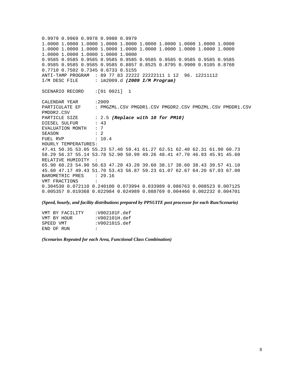0.9979 0.9969 0.9978 0.9980 0.9979 1.0000 1.0000 1.0000 1.0000 1.0000 1.0000 1.0000 1.0000 1.0000 1.0000 1.0000 1.0000 1.0000 1.0000 1.0000 1.0000 1.0000 1.0000 1.0000 1.0000 1.0000 1.0000 1.0000 1.0000 1.0000 0.9585 0.9585 0.9585 0.9585 0.9585 0.9585 0.9585 0.9585 0.9585 0.9585 0.9585 0.9585 0.9585 0.9585 0.8857 0.8525 0.8795 0.9900 0.9105 0.8760 0.7710 0.7502 0.7345 0.6733 0.5155 ANTI-TAMP PROGRAM : 89 77 83 22222 22222111 1 12 96. 12211112 I/M DESC FILE : im2009.d *(2009 I/M Program)* SCENARIO RECORD : [01 0021] 1 CALENDAR YEAR : 2009 PARTICULATE EF : PMGZML.CSV PMGDR1.CSV PMGDR2.CSV PMDZML.CSV PMDDR1.CSV PMDDR2.CSV PARTICLE SIZE : 2.5 (Replace with 10 for PM10) DIESEL SULFUR : 43 EVALUATION MONTH : 7 SEASON : 2 FUEL RVP : 10.4 HOURLY TEMPERATURES: 47.41 50.35 53.05 55.23 57.40 59.41 61.27 62.51 62.40 62.31 61.90 60.73 58.29 56.37 55.14 53.78 52.90 50.99 49.26 48.41 47.70 46.93 45.91 45.60 RELATIVE HUMIDITY : 65.90 60.23 54.90 50.63 47.20 43.20 39.60 38.17 38.60 38.43 39.57 41.10 45.60 47.17 49.43 51.70 53.43 56.87 59.23 61.07 62.67 64.20 67.03 67.00 BAROMETRIC PRES : 29.16 VMT FRACTIONS : 0.304530 0.072110 0.240100 0.073994 0.033989 0.086763 0.008523 0.007125 0.005357 0.019368 0.022984 0.024989 0.088769 0.004466 0.002232 0.004701

*(Speed, hourly, and facility distributions prepared by PPSUITE post processor for each Run/Scenario)* 

| VMT BY FACILITY | :V002101F.def |
|-----------------|---------------|
| VMT BY HOUR     | :V002101H.def |
| SPEED VMT       | :V002101S.def |
| END OF RIN      | $\mathbf{r}$  |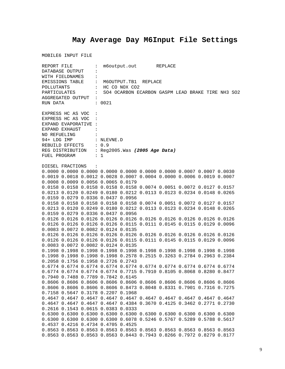# **May Average Day M6Input File Settings**

| REPORT FILE                             |                  |                                                 |                                        | m6output.out REPLACE |  |                                                                                |  |  |                                                   |  |
|-----------------------------------------|------------------|-------------------------------------------------|----------------------------------------|----------------------|--|--------------------------------------------------------------------------------|--|--|---------------------------------------------------|--|
| DATABASE OUTPUT<br>$\ddot{\cdot}$       |                  |                                                 |                                        |                      |  |                                                                                |  |  |                                                   |  |
| WITH FIELDNAMES<br>$\ddot{\phantom{a}}$ |                  |                                                 |                                        |                      |  |                                                                                |  |  |                                                   |  |
|                                         |                  |                                                 | EMISSIONS TABLE : M6OUTPUT.TB1 REPLACE |                      |  |                                                                                |  |  |                                                   |  |
| POLLUTANTS                              |                  |                                                 | : HC CO NOX CO2                        |                      |  |                                                                                |  |  |                                                   |  |
|                                         | PARTICULATES     | $\mathbf{1}$ , $\mathbf{1}$                     |                                        |                      |  |                                                                                |  |  | SO4 OCARBON ECARBON GASPM LEAD BRAKE TIRE NH3 SO2 |  |
|                                         |                  | AGGREGATED OUTPUT :                             |                                        |                      |  |                                                                                |  |  |                                                   |  |
| RUN DATA                                |                  |                                                 | : 0021                                 |                      |  |                                                                                |  |  |                                                   |  |
|                                         |                  |                                                 |                                        |                      |  |                                                                                |  |  |                                                   |  |
|                                         |                  | EXPRESS HC AS VOC :                             |                                        |                      |  |                                                                                |  |  |                                                   |  |
|                                         |                  | EXPRESS HC AS VOC :                             |                                        |                      |  |                                                                                |  |  |                                                   |  |
|                                         |                  | EXPAND EVAPORATIVE :                            |                                        |                      |  |                                                                                |  |  |                                                   |  |
| EXPAND EXHAUST                          |                  | $\sim$ $\sim$ $\sim$ $\sim$                     |                                        |                      |  |                                                                                |  |  |                                                   |  |
|                                         |                  | NO REFUELING :                                  |                                        |                      |  |                                                                                |  |  |                                                   |  |
|                                         |                  | 94+ LDG IMP : NLEVNE.D                          |                                        |                      |  |                                                                                |  |  |                                                   |  |
|                                         |                  | REBUILD EFFECTS : 0.9                           |                                        |                      |  |                                                                                |  |  |                                                   |  |
|                                         |                  | REG DISTRIBUTION : Reg2005. Was (2005 Age Data) |                                        |                      |  |                                                                                |  |  |                                                   |  |
| FUEL PROGRAM                            |                  |                                                 | $\therefore$ 1                         |                      |  |                                                                                |  |  |                                                   |  |
|                                         |                  |                                                 |                                        |                      |  |                                                                                |  |  |                                                   |  |
|                                         | DIESEL FRACTIONS | $\sim$ $\sim$                                   |                                        |                      |  |                                                                                |  |  |                                                   |  |
|                                         |                  |                                                 |                                        |                      |  | $0.0000$ 0.0000 0.0000 0.0000 0.0000 0.0000 0.0000 0.0007 0.0007 0.0030        |  |  |                                                   |  |
|                                         |                  |                                                 |                                        |                      |  | 0.0019 0.0018 0.0012 0.0028 0.0007 0.0004 0.0000 0.0006 0.0019 0.0007          |  |  |                                                   |  |
|                                         |                  | 0.0008 0.0009 0.0056 0.0065 0.0179              |                                        |                      |  |                                                                                |  |  |                                                   |  |
|                                         |                  |                                                 |                                        |                      |  | 0.0158 0.0158 0.0158 0.0158 0.0158 0.0074 0.0051 0.0072 0.0127 0.0157          |  |  |                                                   |  |
|                                         |                  |                                                 |                                        |                      |  | 0.0213 0.0120 0.0249 0.0180 0.0212 0.0113 0.0123 0.0234 0.0148 0.0265          |  |  |                                                   |  |
|                                         |                  | 0.0159 0.0279 0.0336 0.0437 0.0956              |                                        |                      |  |                                                                                |  |  |                                                   |  |
|                                         |                  |                                                 |                                        |                      |  | 0.0158 0.0158 0.0158 0.0158 0.0158 0.0074 0.0051 0.0072 0.0127 0.0157          |  |  |                                                   |  |
|                                         |                  |                                                 |                                        |                      |  | 0.0213 0.0120 0.0249 0.0180 0.0212 0.0113 0.0123 0.0234 0.0148 0.0265          |  |  |                                                   |  |
|                                         |                  | 0.0159 0.0279 0.0336 0.0437 0.0956              |                                        |                      |  |                                                                                |  |  |                                                   |  |
|                                         |                  |                                                 |                                        |                      |  | 0.0126 0.0126 0.0126 0.0126 0.0126 0.0126 0.0126 0.0126 0.0126 0.0126          |  |  |                                                   |  |
|                                         |                  |                                                 |                                        |                      |  | 0.0126 0.0126 0.0126 0.0126 0.0115 0.0111 0.0145 0.0115 0.0129 0.0096          |  |  |                                                   |  |
|                                         |                  | 0.0083 0.0072 0.0082 0.0124 0.0135              |                                        |                      |  |                                                                                |  |  |                                                   |  |
|                                         |                  |                                                 |                                        |                      |  | 0.0126 0.0126 0.0126 0.0126 0.0126 0.0126 0.0126 0.0126 0.0126 0.0126          |  |  |                                                   |  |
|                                         |                  |                                                 |                                        |                      |  | 0.0126 0.0126 0.0126 0.0126 0.0115 0.0111 0.0145 0.0115 0.0129 0.0096          |  |  |                                                   |  |
|                                         |                  | 0.0083 0.0072 0.0082 0.0124 0.0135              |                                        |                      |  |                                                                                |  |  |                                                   |  |
|                                         |                  |                                                 |                                        |                      |  | 0.1998 0.1998 0.1998 0.1998 0.1998 0.1998 0.1998 0.1998 0.1998 0.1998          |  |  |                                                   |  |
|                                         |                  |                                                 |                                        |                      |  | 0.1998  0.1998  0.1998  0.1998  0.2578  0.2515  0.3263  0.2784  0.2963  0.2384 |  |  |                                                   |  |
|                                         |                  | 0.2058 0.1756 0.1958 0.2726 0.2743              |                                        |                      |  |                                                                                |  |  |                                                   |  |
|                                         |                  |                                                 |                                        |                      |  | 0.6774 0.6774 0.6774 0.6774 0.6774 0.6774 0.6774 0.6774 0.6774 0.6774          |  |  |                                                   |  |
|                                         |                  |                                                 |                                        |                      |  | 0.6774 0.6774 0.6774 0.6774 0.7715 0.7910 0.8105 0.8068 0.8280 0.8477          |  |  |                                                   |  |
|                                         |                  | 0.7940 0.7488 0.7789 0.7842 0.6145              |                                        |                      |  |                                                                                |  |  |                                                   |  |
|                                         |                  |                                                 |                                        |                      |  | 0.8606 0.8606 0.8606 0.8606 0.8606 0.8606 0.8606 0.8606 0.8606 0.8606          |  |  |                                                   |  |
|                                         |                  |                                                 |                                        |                      |  | 0.8606 0.8606 0.8606 0.8606 0.8473 0.8048 0.8331 0.7901 0.7316 0.7275          |  |  |                                                   |  |
|                                         |                  | 0.7158 0.5647 0.3178 0.2207 0.1968              |                                        |                      |  |                                                                                |  |  |                                                   |  |
|                                         |                  |                                                 |                                        |                      |  | 0.4647 0.4647 0.4647 0.4647 0.4647 0.4647 0.4647 0.4647 0.4647 0.4647          |  |  |                                                   |  |
|                                         |                  |                                                 |                                        |                      |  | 0.4647 0.4647 0.4647 0.4647 0.4384 0.3670 0.4125 0.3462 0.2771 0.2730          |  |  |                                                   |  |
|                                         |                  | 0.2616 0.1543 0.0615 0.0383 0.0333              |                                        |                      |  |                                                                                |  |  |                                                   |  |
|                                         |                  |                                                 |                                        |                      |  | 0.6300 0.6300 0.6300 0.6300 0.6300 0.6300 0.6300 0.6300 0.6300 0.6300          |  |  |                                                   |  |
|                                         |                  |                                                 |                                        |                      |  | 0.6300 0.6300 0.6300 0.6300 0.6078 0.5246 0.5767 0.5289 0.5788 0.5617          |  |  |                                                   |  |
|                                         |                  | 0.4537 0.4216 0.4734 0.4705 0.4525              |                                        |                      |  |                                                                                |  |  |                                                   |  |
|                                         |                  |                                                 |                                        |                      |  | 0.8563 0.8563 0.8563 0.8563 0.8563 0.8563 0.8563 0.8563 0.8563 0.8563          |  |  |                                                   |  |
|                                         |                  |                                                 |                                        |                      |  | 0.8563 0.8563 0.8563 0.8563 0.8443 0.7943 0.8266 0.7972 0.8279 0.8177          |  |  |                                                   |  |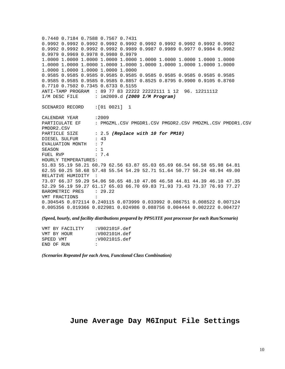0.7440 0.7184 0.7588 0.7567 0.7431 0.9992 0.9992 0.9992 0.9992 0.9992 0.9992 0.9992 0.9992 0.9992 0.9992 0.9992 0.9992 0.9992 0.9992 0.9989 0.9987 0.9989 0.9977 0.9984 0.9982 0.9979 0.9969 0.9978 0.9980 0.9979 1.0000 1.0000 1.0000 1.0000 1.0000 1.0000 1.0000 1.0000 1.0000 1.0000 1.0000 1.0000 1.0000 1.0000 1.0000 1.0000 1.0000 1.0000 1.0000 1.0000 1.0000 1.0000 1.0000 1.0000 1.0000 0.9585 0.9585 0.9585 0.9585 0.9585 0.9585 0.9585 0.9585 0.9585 0.9585 0.9585 0.9585 0.9585 0.9585 0.8857 0.8525 0.8795 0.9900 0.9105 0.8760 0.7710 0.7502 0.7345 0.6733 0.5155 ANTI-TAMP PROGRAM : 89 77 83 22222 22222111 1 12 96. 12211112 I/M DESC FILE : im2009.d *(2009 I/M Program)* SCENARIO RECORD :[01 0021] 1 CALENDAR YEAR :2009<br>PARTICULATE EF : PMG : PMGZML.CSV PMGDR1.CSV PMGDR2.CSV PMDZML.CSV PMDDR1.CSV PMDDR2.CSV PARTICLE SIZE : 2.5 (Replace with 10 for PM10) DIESEL SULFUR : 43 EVALUATION MONTH : 7 SEASON : 1 FUEL RVP : 7.4 HOURLY TEMPERATURES: 51.83 55.19 58.21 60.79 62.56 63.87 65.03 65.69 66.54 66.58 65.98 64.81 62.55 60.25 58.68 57.48 55.54 54.29 52.71 51.64 50.77 50.24 48.94 49.00 RELATIVE HUMIDITY : 73.07 66.37 59.29 54.06 50.65 48.10 47.06 46.58 44.81 44.39 46.10 47.35 52.29 56.19 59.27 61.17 65.03 66.70 69.83 71.93 73.43 73.37 76.93 77.27 BAROMETRIC PRES : 29.22 VMT FRACTIONS : 0.304545 0.072114 0.240115 0.073999 0.033992 0.086751 0.008522 0.007124 0.005356 0.019366 0.022981 0.024986 0.088756 0.004444 0.002222 0.004727

*(Speed, hourly, and facility distributions prepared by PPSUITE post processor for each Run/Scenario)* 

| VMT BY FACILITY | :V002101F.def |
|-----------------|---------------|
| VMT BY HOUR     | :V002101H.def |
| SPEED VMT       | :V002101S.def |
| END OF RUN      | $\mathbf{r}$  |

*(Scenarios Repeated for each Area, Functional Class Combination)*

## **June Average Day M6Input File Settings**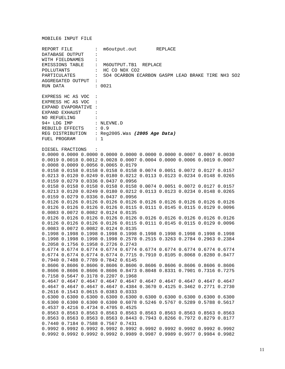| REPORT FILE          |                  |                                                                                             |                      | m6output.out REPLACE |  |                                                                                           |  |  |                                                                  |  |
|----------------------|------------------|---------------------------------------------------------------------------------------------|----------------------|----------------------|--|-------------------------------------------------------------------------------------------|--|--|------------------------------------------------------------------|--|
|                      | DATABASE OUTPUT  | $\ddot{\phantom{a}}$                                                                        |                      |                      |  |                                                                                           |  |  |                                                                  |  |
| WITH FIELDNAMES      |                  |                                                                                             |                      |                      |  |                                                                                           |  |  |                                                                  |  |
| EMISSIONS TABLE :    |                  |                                                                                             | M6OUTPUT.TB1 REPLACE |                      |  |                                                                                           |  |  |                                                                  |  |
| POLLUTANTS           |                  |                                                                                             | : HC CO NOX CO2      |                      |  |                                                                                           |  |  |                                                                  |  |
|                      |                  |                                                                                             |                      |                      |  |                                                                                           |  |  | PARTICULATES : SO4 OCARBON ECARBON GASPM LEAD BRAKE TIRE NH3 SO2 |  |
|                      |                  | AGGREGATED OUTPUT :                                                                         |                      |                      |  |                                                                                           |  |  |                                                                  |  |
| RUN DATA             |                  |                                                                                             | : 0021               |                      |  |                                                                                           |  |  |                                                                  |  |
|                      |                  |                                                                                             |                      |                      |  |                                                                                           |  |  |                                                                  |  |
|                      |                  |                                                                                             |                      |                      |  |                                                                                           |  |  |                                                                  |  |
|                      |                  | EXPRESS HC AS VOC :                                                                         |                      |                      |  |                                                                                           |  |  |                                                                  |  |
|                      |                  | EXPRESS HC AS VOC :                                                                         |                      |                      |  |                                                                                           |  |  |                                                                  |  |
| EXPAND EVAPORATIVE : |                  |                                                                                             |                      |                      |  |                                                                                           |  |  |                                                                  |  |
| EXPAND EXHAUST       |                  |                                                                                             |                      |                      |  |                                                                                           |  |  |                                                                  |  |
| NO REFUELING         |                  |                                                                                             |                      |                      |  |                                                                                           |  |  |                                                                  |  |
|                      |                  | 94+ LDG IMP : NLEVNE.D                                                                      |                      |                      |  |                                                                                           |  |  |                                                                  |  |
|                      |                  | REBUILD EFFECTS : 0.9<br>REG DISTRIBUTION : Reg2005.Was (2005 Age Data)<br>FUEL PROGRAM : 1 |                      |                      |  |                                                                                           |  |  |                                                                  |  |
|                      |                  |                                                                                             |                      |                      |  |                                                                                           |  |  |                                                                  |  |
|                      |                  |                                                                                             |                      |                      |  |                                                                                           |  |  |                                                                  |  |
|                      |                  |                                                                                             |                      |                      |  |                                                                                           |  |  |                                                                  |  |
|                      | DIESEL FRACTIONS | $\sim$ $\sim$                                                                               |                      |                      |  |                                                                                           |  |  |                                                                  |  |
|                      |                  |                                                                                             |                      |                      |  | $0.0000$ $0.0000$ $0.0000$ $0.0000$ $0.0000$ $0.0000$ $0.0000$ $0.0007$ $0.0007$ $0.0030$ |  |  |                                                                  |  |
|                      |                  |                                                                                             |                      |                      |  | 0.0019 0.0018 0.0012 0.0028 0.0007 0.0004 0.0000 0.0006 0.0019 0.0007                     |  |  |                                                                  |  |
|                      |                  | 0.0008 0.0009 0.0056 0.0065 0.0179                                                          |                      |                      |  |                                                                                           |  |  |                                                                  |  |
|                      |                  |                                                                                             |                      |                      |  | 0.0158 0.0158 0.0158 0.0158 0.0158 0.0074 0.0051 0.0072 0.0127 0.0157                     |  |  |                                                                  |  |
|                      |                  |                                                                                             |                      |                      |  |                                                                                           |  |  |                                                                  |  |
|                      |                  |                                                                                             |                      |                      |  | 0.0213 0.0120 0.0249 0.0180 0.0212 0.0113 0.0123 0.0234 0.0148 0.0265                     |  |  |                                                                  |  |
|                      |                  | 0.0159 0.0279 0.0336 0.0437 0.0956                                                          |                      |                      |  |                                                                                           |  |  |                                                                  |  |
|                      |                  |                                                                                             |                      |                      |  | 0.0158 0.0158 0.0158 0.0158 0.0158 0.0074 0.0051 0.0072 0.0127 0.0157                     |  |  |                                                                  |  |
|                      |                  |                                                                                             |                      |                      |  | 0.0213 0.0120 0.0249 0.0180 0.0212 0.0113 0.0123 0.0234 0.0148 0.0265                     |  |  |                                                                  |  |
|                      |                  | 0.0159 0.0279 0.0336 0.0437 0.0956                                                          |                      |                      |  |                                                                                           |  |  |                                                                  |  |
|                      |                  |                                                                                             |                      |                      |  | 0.0126 0.0126 0.0126 0.0126 0.0126 0.0126 0.0126 0.0126 0.0126 0.0126                     |  |  |                                                                  |  |
|                      |                  |                                                                                             |                      |                      |  | 0.0126 0.0126 0.0126 0.0126 0.0115 0.0111 0.0145 0.0115 0.0129 0.0096                     |  |  |                                                                  |  |
|                      |                  | 0.0083 0.0072 0.0082 0.0124 0.0135                                                          |                      |                      |  |                                                                                           |  |  |                                                                  |  |
|                      |                  |                                                                                             |                      |                      |  | 0.0126 0.0126 0.0126 0.0126 0.0126 0.0126 0.0126 0.0126 0.0126 0.0126                     |  |  |                                                                  |  |
|                      |                  |                                                                                             |                      |                      |  | 0.0126 0.0126 0.0126 0.0126 0.0115 0.0111 0.0145 0.0115 0.0129 0.0096                     |  |  |                                                                  |  |
|                      |                  | 0.0083 0.0072 0.0082 0.0124 0.0135                                                          |                      |                      |  |                                                                                           |  |  |                                                                  |  |
|                      |                  |                                                                                             |                      |                      |  | 0.1998 0.1998 0.1998 0.1998 0.1998 0.1998 0.1998 0.1998 0.1998 0.1998                     |  |  |                                                                  |  |
|                      |                  |                                                                                             |                      |                      |  | 0.1998  0.1998  0.1998  0.1998  0.2578  0.2515  0.3263  0.2784  0.2963  0.2384            |  |  |                                                                  |  |
|                      |                  | 0.2058 0.1756 0.1958 0.2726 0.2743                                                          |                      |                      |  |                                                                                           |  |  |                                                                  |  |
|                      |                  |                                                                                             |                      |                      |  | 0.6774 0.6774 0.6774 0.6774 0.6774 0.6774 0.6774 0.6774 0.6774 0.6774                     |  |  |                                                                  |  |
|                      |                  |                                                                                             |                      |                      |  | 0.6774 0.6774 0.6774 0.6774 0.7715 0.7910 0.8105 0.8068 0.8280 0.8477                     |  |  |                                                                  |  |
|                      |                  | 0.7940 0.7488 0.7789 0.7842 0.6145                                                          |                      |                      |  |                                                                                           |  |  |                                                                  |  |
|                      |                  |                                                                                             |                      |                      |  | 0.8606 0.8606 0.8606 0.8606 0.8606 0.8606 0.8606 0.8606 0.8606 0.8606                     |  |  |                                                                  |  |
|                      |                  |                                                                                             |                      |                      |  |                                                                                           |  |  |                                                                  |  |
|                      |                  |                                                                                             |                      |                      |  | 0.8606 0.8606 0.8606 0.8606 0.8473 0.8048 0.8331 0.7901 0.7316 0.7275                     |  |  |                                                                  |  |
|                      |                  | 0.7158 0.5647 0.3178 0.2207 0.1968                                                          |                      |                      |  |                                                                                           |  |  |                                                                  |  |
|                      |                  |                                                                                             |                      |                      |  | 0.4647 0.4647 0.4647 0.4647 0.4647 0.4647 0.4647 0.4647 0.4647 0.4647                     |  |  |                                                                  |  |
|                      |                  |                                                                                             |                      |                      |  | 0.4647 0.4647 0.4647 0.4647 0.4384 0.3670 0.4125 0.3462 0.2771 0.2730                     |  |  |                                                                  |  |
|                      |                  | 0.2616 0.1543 0.0615 0.0383 0.0333                                                          |                      |                      |  |                                                                                           |  |  |                                                                  |  |
|                      |                  |                                                                                             |                      |                      |  | 0.6300 0.6300 0.6300 0.6300 0.6300 0.6300 0.6300 0.6300 0.6300 0.6300                     |  |  |                                                                  |  |
|                      |                  |                                                                                             |                      |                      |  | 0.6300 0.6300 0.6300 0.6300 0.6078 0.5246 0.5767 0.5289 0.5788 0.5617                     |  |  |                                                                  |  |
|                      |                  | 0.4537 0.4216 0.4734 0.4705 0.4525                                                          |                      |                      |  |                                                                                           |  |  |                                                                  |  |
|                      |                  |                                                                                             |                      |                      |  | 0.8563 0.8563 0.8563 0.8563 0.8563 0.8563 0.8563 0.8563 0.8563 0.8563                     |  |  |                                                                  |  |
|                      |                  |                                                                                             |                      |                      |  | 0.8563 0.8563 0.8563 0.8563 0.8443 0.7943 0.8266 0.7972 0.8279 0.8177                     |  |  |                                                                  |  |
|                      |                  | 0.7440 0.7184 0.7588 0.7567 0.7431                                                          |                      |                      |  |                                                                                           |  |  |                                                                  |  |
|                      |                  |                                                                                             |                      |                      |  | 0.9992 0.9992 0.9992 0.9992 0.9992 0.9992 0.9992 0.9992 0.9992 0.9992                     |  |  |                                                                  |  |
|                      |                  |                                                                                             |                      |                      |  | 0.9992 0.9992 0.9992 0.9992 0.9989 0.9987 0.9989 0.9977 0.9984 0.9982                     |  |  |                                                                  |  |
|                      |                  |                                                                                             |                      |                      |  |                                                                                           |  |  |                                                                  |  |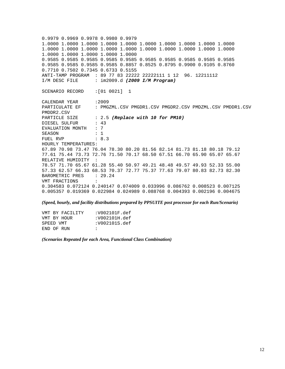0.9979 0.9969 0.9978 0.9980 0.9979 1.0000 1.0000 1.0000 1.0000 1.0000 1.0000 1.0000 1.0000 1.0000 1.0000 1.0000 1.0000 1.0000 1.0000 1.0000 1.0000 1.0000 1.0000 1.0000 1.0000 1.0000 1.0000 1.0000 1.0000 1.0000 0.9585 0.9585 0.9585 0.9585 0.9585 0.9585 0.9585 0.9585 0.9585 0.9585 0.9585 0.9585 0.9585 0.9585 0.8857 0.8525 0.8795 0.9900 0.9105 0.8760 0.7710 0.7502 0.7345 0.6733 0.5155 ANTI-TAMP PROGRAM : 89 77 83 22222 22222111 1 12 96. 12211112 I/M DESC FILE : im2009.d *(2009 I/M Program)* SCENARIO RECORD : [01 0021] 1 CALENDAR YEAR : 2009 PARTICULATE EF : PMGZML.CSV PMGDR1.CSV PMGDR2.CSV PMDZML.CSV PMDDR1.CSV PMDDR2.CSV PARTICLE SIZE : 2.5 *(Replace with 10 for PM10)* DIESEL SULFUR : 43 EVALUATION MONTH : 7 SEASON : 1 FUEL RVP : 8.3 HOURLY TEMPERATURES: 67.89 70.98 73.47 76.04 78.30 80.20 81.56 82.14 81.73 81.18 80.18 79.12 77.61 75.44 73.73 72.76 71.50 70.17 68.50 67.51 66.70 65.90 65.07 65.67 RELATIVE HUMIDITY : 78.57 71.70 65.67 61.28 55.40 50.97 49.21 48.48 49.57 49.93 52.33 55.00 57.33 62.57 66.33 68.53 70.37 72.77 75.37 77.63 79.07 80.83 82.73 82.30 BAROMETRIC PRES : 29.24 VMT FRACTIONS : 0.304583 0.072124 0.240147 0.074009 0.033996 0.086762 0.008523 0.007125 0.005357 0.019369 0.022984 0.024989 0.088768 0.004393 0.002196 0.004675

*(Speed, hourly, and facility distributions prepared by PPSUITE post processor for each Run/Scenario)* 

| VMT BY FACILITY | :V002101F.def |
|-----------------|---------------|
| VMT BY HOUR     | :V002101H.def |
| SPEED VMT       | :V002101S.def |
| END OF RUN      | $\mathbf{r}$  |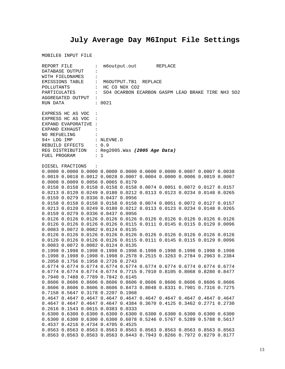# **July Average Day M6Input File Settings**

|                                   | REPORT FILE      |                       |                                                                   | m6output.out REPLACE |  |  |  |                                                                                           |                                                   |  |
|-----------------------------------|------------------|-----------------------|-------------------------------------------------------------------|----------------------|--|--|--|-------------------------------------------------------------------------------------------|---------------------------------------------------|--|
| DATABASE OUTPUT<br>$\ddot{\cdot}$ |                  |                       |                                                                   |                      |  |  |  |                                                                                           |                                                   |  |
|                                   | WITH FIELDNAMES  | $\ddot{\cdot}$        |                                                                   |                      |  |  |  |                                                                                           |                                                   |  |
|                                   |                  |                       | EMISSIONS TABLE : M6OUTPUT.TB1 REPLACE                            |                      |  |  |  |                                                                                           |                                                   |  |
| POLLUTANTS                        |                  |                       | $\vdots$ HC CO NOX CO2                                            |                      |  |  |  |                                                                                           |                                                   |  |
|                                   |                  | PARTICULATES :        |                                                                   |                      |  |  |  |                                                                                           | SO4 OCARBON ECARBON GASPM LEAD BRAKE TIRE NH3 SO2 |  |
|                                   |                  | AGGREGATED OUTPUT :   |                                                                   |                      |  |  |  |                                                                                           |                                                   |  |
| RUN DATA                          |                  |                       | : 0021                                                            |                      |  |  |  |                                                                                           |                                                   |  |
|                                   |                  |                       |                                                                   |                      |  |  |  |                                                                                           |                                                   |  |
|                                   |                  | EXPRESS HC AS VOC :   |                                                                   |                      |  |  |  |                                                                                           |                                                   |  |
|                                   |                  | EXPRESS HC AS VOC :   |                                                                   |                      |  |  |  |                                                                                           |                                                   |  |
|                                   |                  | EXPAND EVAPORATIVE :  |                                                                   |                      |  |  |  |                                                                                           |                                                   |  |
|                                   | EXPAND EXHAUST   | <b>Contract</b>       |                                                                   |                      |  |  |  |                                                                                           |                                                   |  |
|                                   | NO REFUELING :   |                       |                                                                   |                      |  |  |  |                                                                                           |                                                   |  |
|                                   |                  |                       | 94+ LDG IMP : NLEVNE.D                                            |                      |  |  |  |                                                                                           |                                                   |  |
|                                   |                  |                       |                                                                   |                      |  |  |  |                                                                                           |                                                   |  |
|                                   |                  | REBUILD EFFECTS : 0.9 |                                                                   |                      |  |  |  |                                                                                           |                                                   |  |
| FUEL PROGRAM                      |                  |                       | REG DISTRIBUTION : Reg2005. Was (2005 Age Data)<br>$\therefore$ 1 |                      |  |  |  |                                                                                           |                                                   |  |
|                                   |                  |                       |                                                                   |                      |  |  |  |                                                                                           |                                                   |  |
|                                   | DIESEL FRACTIONS | $\sim$ $\sim$         |                                                                   |                      |  |  |  |                                                                                           |                                                   |  |
|                                   |                  |                       |                                                                   |                      |  |  |  | $0.0000$ $0.0000$ $0.0000$ $0.0000$ $0.0000$ $0.0000$ $0.0000$ $0.0007$ $0.0007$ $0.0030$ |                                                   |  |
|                                   |                  |                       |                                                                   |                      |  |  |  | 0.0019 0.0018 0.0012 0.0028 0.0007 0.0004 0.0000 0.0006 0.0019 0.0007                     |                                                   |  |
|                                   |                  |                       | 0.0008 0.0009 0.0056 0.0065 0.0179                                |                      |  |  |  |                                                                                           |                                                   |  |
|                                   |                  |                       |                                                                   |                      |  |  |  |                                                                                           |                                                   |  |
|                                   |                  |                       |                                                                   |                      |  |  |  | 0.0158 0.0158 0.0158 0.0158 0.0158 0.0074 0.0051 0.0072 0.0127 0.0157                     |                                                   |  |
|                                   |                  |                       |                                                                   |                      |  |  |  | 0.0213 0.0120 0.0249 0.0180 0.0212 0.0113 0.0123 0.0234 0.0148 0.0265                     |                                                   |  |
|                                   |                  |                       | 0.0159 0.0279 0.0336 0.0437 0.0956                                |                      |  |  |  |                                                                                           |                                                   |  |
|                                   |                  |                       |                                                                   |                      |  |  |  | 0.0158 0.0158 0.0158 0.0158 0.0158 0.0074 0.0051 0.0072 0.0127 0.0157                     |                                                   |  |
|                                   |                  |                       |                                                                   |                      |  |  |  | 0.0213 0.0120 0.0249 0.0180 0.0212 0.0113 0.0123 0.0234 0.0148 0.0265                     |                                                   |  |
|                                   |                  |                       | 0.0159 0.0279 0.0336 0.0437 0.0956                                |                      |  |  |  |                                                                                           |                                                   |  |
|                                   |                  |                       |                                                                   |                      |  |  |  | 0.0126 0.0126 0.0126 0.0126 0.0126 0.0126 0.0126 0.0126 0.0126 0.0126                     |                                                   |  |
|                                   |                  |                       |                                                                   |                      |  |  |  | 0.0126 0.0126 0.0126 0.0126 0.0115 0.0111 0.0145 0.0115 0.0129 0.0096                     |                                                   |  |
|                                   |                  |                       | 0.0083 0.0072 0.0082 0.0124 0.0135                                |                      |  |  |  |                                                                                           |                                                   |  |
|                                   |                  |                       |                                                                   |                      |  |  |  | 0.0126 0.0126 0.0126 0.0126 0.0126 0.0126 0.0126 0.0126 0.0126 0.0126                     |                                                   |  |
|                                   |                  |                       |                                                                   |                      |  |  |  | 0.0126 0.0126 0.0126 0.0126 0.0115 0.0111 0.0145 0.0115 0.0129 0.0096                     |                                                   |  |
|                                   |                  |                       | 0.0083 0.0072 0.0082 0.0124 0.0135                                |                      |  |  |  |                                                                                           |                                                   |  |
|                                   |                  |                       |                                                                   |                      |  |  |  | 0.1998 0.1998 0.1998 0.1998 0.1998 0.1998 0.1998 0.1998 0.1998 0.1998                     |                                                   |  |
|                                   |                  |                       |                                                                   |                      |  |  |  | 0.1998  0.1998  0.1998  0.1998  0.2578  0.2515  0.3263  0.2784  0.2963  0.2384            |                                                   |  |
|                                   |                  |                       | 0.2058 0.1756 0.1958 0.2726 0.2743                                |                      |  |  |  |                                                                                           |                                                   |  |
|                                   |                  |                       |                                                                   |                      |  |  |  | 0.6774 0.6774 0.6774 0.6774 0.6774 0.6774 0.6774 0.6774 0.6774 0.6774                     |                                                   |  |
|                                   |                  |                       |                                                                   |                      |  |  |  | 0.6774 0.6774 0.6774 0.6774 0.7715 0.7910 0.8105 0.8068 0.8280 0.8477                     |                                                   |  |
|                                   |                  |                       | 0.7940 0.7488 0.7789 0.7842 0.6145                                |                      |  |  |  |                                                                                           |                                                   |  |
|                                   |                  |                       |                                                                   |                      |  |  |  | 0.8606 0.8606 0.8606 0.8606 0.8606 0.8606 0.8606 0.8606 0.8606 0.8606                     |                                                   |  |
|                                   |                  |                       |                                                                   |                      |  |  |  | 0.8606 0.8606 0.8606 0.8606 0.8473 0.8048 0.8331 0.7901 0.7316 0.7275                     |                                                   |  |
|                                   |                  |                       | 0.7158 0.5647 0.3178 0.2207 0.1968                                |                      |  |  |  |                                                                                           |                                                   |  |
|                                   |                  |                       |                                                                   |                      |  |  |  | 0.4647 0.4647 0.4647 0.4647 0.4647 0.4647 0.4647 0.4647 0.4647 0.4647                     |                                                   |  |
|                                   |                  |                       |                                                                   |                      |  |  |  | 0.4647 0.4647 0.4647 0.4647 0.4384 0.3670 0.4125 0.3462 0.2771 0.2730                     |                                                   |  |
|                                   |                  |                       | 0.2616 0.1543 0.0615 0.0383 0.0333                                |                      |  |  |  |                                                                                           |                                                   |  |
|                                   |                  |                       |                                                                   |                      |  |  |  | 0.6300 0.6300 0.6300 0.6300 0.6300 0.6300 0.6300 0.6300 0.6300 0.6300                     |                                                   |  |
|                                   |                  |                       |                                                                   |                      |  |  |  | 0.6300 0.6300 0.6300 0.6300 0.6078 0.5246 0.5767 0.5289 0.5788 0.5617                     |                                                   |  |
|                                   |                  |                       | 0.4537 0.4216 0.4734 0.4705 0.4525                                |                      |  |  |  |                                                                                           |                                                   |  |
|                                   |                  |                       |                                                                   |                      |  |  |  | 0.8563 0.8563 0.8563 0.8563 0.8563 0.8563 0.8563 0.8563 0.8563 0.8563                     |                                                   |  |
|                                   |                  |                       |                                                                   |                      |  |  |  | 0.8563 0.8563 0.8563 0.8563 0.8443 0.7943 0.8266 0.7972 0.8279 0.8177                     |                                                   |  |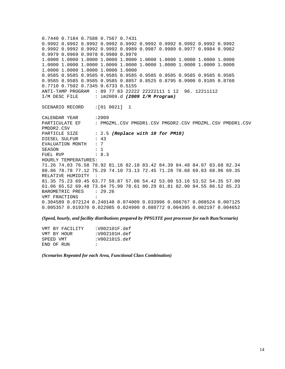0.7440 0.7184 0.7588 0.7567 0.7431 0.9992 0.9992 0.9992 0.9992 0.9992 0.9992 0.9992 0.9992 0.9992 0.9992 0.9992 0.9992 0.9992 0.9992 0.9989 0.9987 0.9989 0.9977 0.9984 0.9982 0.9979 0.9969 0.9978 0.9980 0.9979 1.0000 1.0000 1.0000 1.0000 1.0000 1.0000 1.0000 1.0000 1.0000 1.0000 1.0000 1.0000 1.0000 1.0000 1.0000 1.0000 1.0000 1.0000 1.0000 1.0000 1.0000 1.0000 1.0000 1.0000 1.0000 0.9585 0.9585 0.9585 0.9585 0.9585 0.9585 0.9585 0.9585 0.9585 0.9585 0.9585 0.9585 0.9585 0.9585 0.8857 0.8525 0.8795 0.9900 0.9105 0.8760 0.7710 0.7502 0.7345 0.6733 0.5155 ANTI-TAMP PROGRAM : 89 77 83 22222 22222111 1 12 96. 12211112 I/M DESC FILE : im2009.d *(2009 I/M Program)* SCENARIO RECORD :[01 0021] 1 CALENDAR YEAR : 2009 PARTICULATE EF : PMGZML.CSV PMGDR1.CSV PMGDR2.CSV PMDZML.CSV PMDDR1.CSV PMDDR2.CSV PARTICLE SIZE : 2.5 (Replace with 10 for PM10) DIESEL SULFUR : 43 EVALUATION MONTH : 7 SEASON : 1 FUEL RVP : 8.3 HOURLY TEMPERATURES: 71.26 74.03 76.58 78.92 81.16 82.10 83.42 84.39 84.48 84.07 83.68 82.34 80.86 78.78 77.12 75.29 74.10 73.13 72.45 71.28 70.68 69.83 68.96 69.35 RELATIVE HUMIDITY : 81.35 75.23 69.45 63.77 59.87 57.06 54.42 53.00 53.16 53.52 54.35 57.00 61.06 65.52 69.48 73.84 75.90 78.61 80.29 81.81 82.90 84.55 86.52 85.23 BAROMETRIC PRES : 29.26 VMT FRACTIONS : 0.304589 0.072124 0.240148 0.074009 0.033996 0.086767 0.008524 0.007125 0.005357 0.019370 0.022985 0.024990 0.088772 0.004395 0.002197 0.004652

*(Speed, hourly, and facility distributions prepared by PPSUITE post processor for each Run/Scenario)* 

| VMT BY FACILITY | :V002101F.def |
|-----------------|---------------|
| VMT BY HOUR     | :V002101H.def |
| SPEED VMT       | :V002101S.def |
| END OF RIN      | $\mathbf{r}$  |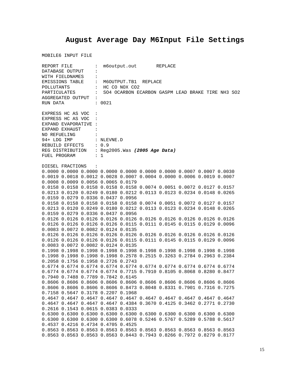# **August Average Day M6Input File Settings**

|              | REPORT FILE         |                                                 |        | m6output.out REPLACE |                                                                                           |  |                                                                  |
|--------------|---------------------|-------------------------------------------------|--------|----------------------|-------------------------------------------------------------------------------------------|--|------------------------------------------------------------------|
|              | DATABASE OUTPUT     | $\ddot{\phantom{a}}$                            |        |                      |                                                                                           |  |                                                                  |
|              | WITH FIELDNAMES     | $\ddot{\phantom{a}}$                            |        |                      |                                                                                           |  |                                                                  |
|              |                     | EMISSIONS TABLE : M6OUTPUT.TB1 REPLACE          |        |                      |                                                                                           |  |                                                                  |
| POLLUTANTS   |                     | : HC CO NOX CO2                                 |        |                      |                                                                                           |  |                                                                  |
|              |                     |                                                 |        |                      |                                                                                           |  | PARTICULATES : SO4 OCARBON ECARBON GASPM LEAD BRAKE TIRE NH3 SO2 |
|              |                     | AGGREGATED OUTPUT :                             |        |                      |                                                                                           |  |                                                                  |
| RUN DATA     |                     |                                                 | : 0021 |                      |                                                                                           |  |                                                                  |
|              |                     |                                                 |        |                      |                                                                                           |  |                                                                  |
|              | EXPRESS HC AS VOC : |                                                 |        |                      |                                                                                           |  |                                                                  |
|              |                     | EXPRESS HC AS VOC :                             |        |                      |                                                                                           |  |                                                                  |
|              |                     | EXPAND EVAPORATIVE :                            |        |                      |                                                                                           |  |                                                                  |
|              | EXPAND EXHAUST      | $\sim$ $\sim$ $\sim$ $\sim$ $\sim$              |        |                      |                                                                                           |  |                                                                  |
|              |                     | NO REFUELING :                                  |        |                      |                                                                                           |  |                                                                  |
|              |                     | 94+ LDG IMP : NLEVNE.D                          |        |                      |                                                                                           |  |                                                                  |
|              |                     | REBUILD EFFECTS : 0.9                           |        |                      |                                                                                           |  |                                                                  |
|              |                     | REG DISTRIBUTION : Reg2005. Was (2005 Age Data) |        |                      |                                                                                           |  |                                                                  |
| FUEL PROGRAM |                     | $\therefore$ 1                                  |        |                      |                                                                                           |  |                                                                  |
|              |                     |                                                 |        |                      |                                                                                           |  |                                                                  |
|              | DIESEL FRACTIONS    | $\sim$ $\sim$ $\sim$                            |        |                      |                                                                                           |  |                                                                  |
|              |                     |                                                 |        |                      | $0.0000$ $0.0000$ $0.0000$ $0.0000$ $0.0000$ $0.0000$ $0.0000$ $0.0007$ $0.0007$ $0.0030$ |  |                                                                  |
|              |                     |                                                 |        |                      | 0.0019 0.0018 0.0012 0.0028 0.0007 0.0004 0.0000 0.0006 0.0019 0.0007                     |  |                                                                  |
|              |                     | 0.0008 0.0009 0.0056 0.0065 0.0179              |        |                      |                                                                                           |  |                                                                  |
|              |                     |                                                 |        |                      | 0.0158 0.0158 0.0158 0.0158 0.0158 0.0074 0.0051 0.0072 0.0127 0.0157                     |  |                                                                  |
|              |                     |                                                 |        |                      | 0.0213 0.0120 0.0249 0.0180 0.0212 0.0113 0.0123 0.0234 0.0148 0.0265                     |  |                                                                  |
|              |                     | 0.0159 0.0279 0.0336 0.0437 0.0956              |        |                      |                                                                                           |  |                                                                  |
|              |                     |                                                 |        |                      | 0.0158 0.0158 0.0158 0.0158 0.0158 0.0074 0.0051 0.0072 0.0127 0.0157                     |  |                                                                  |
|              |                     |                                                 |        |                      | 0.0213 0.0120 0.0249 0.0180 0.0212 0.0113 0.0123 0.0234 0.0148 0.0265                     |  |                                                                  |
|              |                     | 0.0159 0.0279 0.0336 0.0437 0.0956              |        |                      |                                                                                           |  |                                                                  |
|              |                     |                                                 |        |                      | 0.0126 0.0126 0.0126 0.0126 0.0126 0.0126 0.0126 0.0126 0.0126 0.0126                     |  |                                                                  |
|              |                     |                                                 |        |                      | 0.0126 0.0126 0.0126 0.0126 0.0115 0.0111 0.0145 0.0115 0.0129 0.0096                     |  |                                                                  |
|              |                     | 0.0083 0.0072 0.0082 0.0124 0.0135              |        |                      |                                                                                           |  |                                                                  |
|              |                     |                                                 |        |                      | 0.0126 0.0126 0.0126 0.0126 0.0126 0.0126 0.0126 0.0126 0.0126 0.0126                     |  |                                                                  |
|              |                     |                                                 |        |                      | 0.0126 0.0126 0.0126 0.0126 0.0115 0.0111 0.0145 0.0115 0.0129 0.0096                     |  |                                                                  |
|              |                     | 0.0083 0.0072 0.0082 0.0124 0.0135              |        |                      |                                                                                           |  |                                                                  |
|              |                     |                                                 |        |                      | 0.1998 0.1998 0.1998 0.1998 0.1998 0.1998 0.1998 0.1998 0.1998 0.1998                     |  |                                                                  |
|              |                     |                                                 |        |                      | 0.1998  0.1998  0.1998  0.1998  0.2578  0.2515  0.3263  0.2784  0.2963  0.2384            |  |                                                                  |
|              |                     | 0.2058 0.1756 0.1958 0.2726 0.2743              |        |                      |                                                                                           |  |                                                                  |
|              |                     |                                                 |        |                      |                                                                                           |  |                                                                  |
|              |                     |                                                 |        |                      | 0.6774 0.6774 0.6774 0.6774 0.6774 0.6774 0.6774 0.6774 0.6774 0.6774                     |  |                                                                  |
|              |                     |                                                 |        |                      | 0.6774 0.6774 0.6774 0.6774 0.7715 0.7910 0.8105 0.8068 0.8280 0.8477                     |  |                                                                  |
|              |                     | 0.7940 0.7488 0.7789 0.7842 0.6145              |        |                      |                                                                                           |  |                                                                  |
|              |                     |                                                 |        |                      | 0.8606 0.8606 0.8606 0.8606 0.8606 0.8606 0.8606 0.8606 0.8606 0.8606                     |  |                                                                  |
|              |                     |                                                 |        |                      | 0.8606 0.8606 0.8606 0.8606 0.8473 0.8048 0.8331 0.7901 0.7316 0.7275                     |  |                                                                  |
|              |                     | 0.7158 0.5647 0.3178 0.2207 0.1968              |        |                      |                                                                                           |  |                                                                  |
|              |                     |                                                 |        |                      | 0.4647 0.4647 0.4647 0.4647 0.4647 0.4647 0.4647 0.4647 0.4647 0.4647                     |  |                                                                  |
|              |                     |                                                 |        |                      | 0.4647 0.4647 0.4647 0.4647 0.4384 0.3670 0.4125 0.3462 0.2771 0.2730                     |  |                                                                  |
|              |                     | 0.2616 0.1543 0.0615 0.0383 0.0333              |        |                      |                                                                                           |  |                                                                  |
|              |                     |                                                 |        |                      | 0.6300 0.6300 0.6300 0.6300 0.6300 0.6300 0.6300 0.6300 0.6300 0.6300                     |  |                                                                  |
|              |                     |                                                 |        |                      | 0.6300 0.6300 0.6300 0.6300 0.6078 0.5246 0.5767 0.5289 0.5788 0.5617                     |  |                                                                  |
|              |                     | 0.4537 0.4216 0.4734 0.4705 0.4525              |        |                      |                                                                                           |  |                                                                  |
|              |                     |                                                 |        |                      | 0.8563 0.8563 0.8563 0.8563 0.8563 0.8563 0.8563 0.8563 0.8563 0.8563                     |  |                                                                  |
|              |                     |                                                 |        |                      | 0.8563 0.8563 0.8563 0.8563 0.8443 0.7943 0.8266 0.7972 0.8279 0.8177                     |  |                                                                  |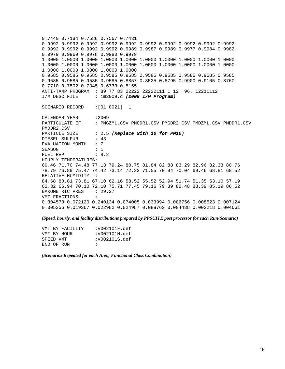0.7440 0.7184 0.7588 0.7567 0.7431 0.9992 0.9992 0.9992 0.9992 0.9992 0.9992 0.9992 0.9992 0.9992 0.9992 0.9992 0.9992 0.9992 0.9992 0.9989 0.9987 0.9989 0.9977 0.9984 0.9982 0.9979 0.9969 0.9978 0.9980 0.9979 1.0000 1.0000 1.0000 1.0000 1.0000 1.0000 1.0000 1.0000 1.0000 1.0000 1.0000 1.0000 1.0000 1.0000 1.0000 1.0000 1.0000 1.0000 1.0000 1.0000 1.0000 1.0000 1.0000 1.0000 1.0000 0.9585 0.9585 0.9585 0.9585 0.9585 0.9585 0.9585 0.9585 0.9585 0.9585 0.9585 0.9585 0.9585 0.9585 0.8857 0.8525 0.8795 0.9900 0.9105 0.8760 0.7710 0.7502 0.7345 0.6733 0.5155 ANTI-TAMP PROGRAM : 89 77 83 22222 22222111 1 12 96. 12211112 I/M DESC FILE : im2009.d *(2009 I/M Program)* SCENARIO RECORD :[01 0021] 1 CALENDAR YEAR : 2009 PARTICULATE EF : PMGZML.CSV PMGDR1.CSV PMGDR2.CSV PMDZML.CSV PMDDR1.CSV PMDDR2.CSV PARTICLE SIZE : 2.5 (Replace with 10 for PM10) DIESEL SULFUR : 43 EVALUATION MONTH : 7 SEASON : 1 FUEL RVP : 8.2 HOURLY TEMPERATURES: 69.46 71.70 74.48 77.13 79.24 80.75 81.84 82.88 83.29 82.96 82.33 80.76 78.79 76.89 75.47 74.42 73.14 72.32 71.55 70.94 70.04 69.46 68.81 68.52 RELATIVE HUMIDITY : 84.68 80.81 73.81 67.10 62.16 58.52 55.52 52.94 51.74 51.35 53.10 57.19 62.32 66.94 70.10 72.10 75.71 77.45 79.16 79.39 82.48 83.39 85.19 86.52 BAROMETRIC PRES : 29.27 VMT FRACTIONS : 0.304573 0.072120 0.240134 0.074005 0.033994 0.086756 0.008523 0.007124 0.005356 0.019367 0.022982 0.024987 0.088762 0.004438 0.002218 0.004661

*(Speed, hourly, and facility distributions prepared by PPSUITE post processor for each Run/Scenario)* 

| VMT BY FACILITY | :V002101F.def |
|-----------------|---------------|
| VMT BY HOUR     | :V002101H.def |
| SPEED VMT       | :V002101S.def |
| END OF RIN      | $\mathbf{r}$  |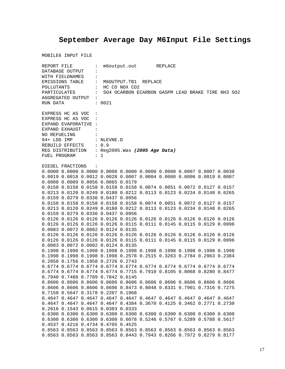# **September Average Day M6Input File Settings**

|              | REPORT FILE         |                                                 |        | m6output.out REPLACE |                                                                                           |  |                                                                  |
|--------------|---------------------|-------------------------------------------------|--------|----------------------|-------------------------------------------------------------------------------------------|--|------------------------------------------------------------------|
|              | DATABASE OUTPUT     | $\ddot{\phantom{a}}$                            |        |                      |                                                                                           |  |                                                                  |
|              | WITH FIELDNAMES     | $\ddot{\phantom{a}}$                            |        |                      |                                                                                           |  |                                                                  |
|              |                     | EMISSIONS TABLE : M6OUTPUT.TB1 REPLACE          |        |                      |                                                                                           |  |                                                                  |
| POLLUTANTS   |                     | : HC CO NOX CO2                                 |        |                      |                                                                                           |  |                                                                  |
|              |                     |                                                 |        |                      |                                                                                           |  | PARTICULATES : SO4 OCARBON ECARBON GASPM LEAD BRAKE TIRE NH3 SO2 |
|              |                     | AGGREGATED OUTPUT :                             |        |                      |                                                                                           |  |                                                                  |
| RUN DATA     |                     |                                                 | : 0021 |                      |                                                                                           |  |                                                                  |
|              |                     |                                                 |        |                      |                                                                                           |  |                                                                  |
|              | EXPRESS HC AS VOC : |                                                 |        |                      |                                                                                           |  |                                                                  |
|              |                     | EXPRESS HC AS VOC :                             |        |                      |                                                                                           |  |                                                                  |
|              |                     | EXPAND EVAPORATIVE :                            |        |                      |                                                                                           |  |                                                                  |
|              | EXPAND EXHAUST      | $\sim$ $\sim$ $\sim$ $\sim$ $\sim$              |        |                      |                                                                                           |  |                                                                  |
|              |                     | NO REFUELING :                                  |        |                      |                                                                                           |  |                                                                  |
|              |                     | 94+ LDG IMP : NLEVNE.D                          |        |                      |                                                                                           |  |                                                                  |
|              |                     | REBUILD EFFECTS : 0.9                           |        |                      |                                                                                           |  |                                                                  |
|              |                     | REG DISTRIBUTION : Reg2005. Was (2005 Age Data) |        |                      |                                                                                           |  |                                                                  |
| FUEL PROGRAM |                     | $\therefore$ 1                                  |        |                      |                                                                                           |  |                                                                  |
|              |                     |                                                 |        |                      |                                                                                           |  |                                                                  |
|              | DIESEL FRACTIONS    | $\sim$ $\sim$ $\sim$                            |        |                      |                                                                                           |  |                                                                  |
|              |                     |                                                 |        |                      | $0.0000$ $0.0000$ $0.0000$ $0.0000$ $0.0000$ $0.0000$ $0.0000$ $0.0007$ $0.0007$ $0.0030$ |  |                                                                  |
|              |                     |                                                 |        |                      | 0.0019 0.0018 0.0012 0.0028 0.0007 0.0004 0.0000 0.0006 0.0019 0.0007                     |  |                                                                  |
|              |                     | 0.0008 0.0009 0.0056 0.0065 0.0179              |        |                      |                                                                                           |  |                                                                  |
|              |                     |                                                 |        |                      | 0.0158 0.0158 0.0158 0.0158 0.0158 0.0074 0.0051 0.0072 0.0127 0.0157                     |  |                                                                  |
|              |                     |                                                 |        |                      | 0.0213 0.0120 0.0249 0.0180 0.0212 0.0113 0.0123 0.0234 0.0148 0.0265                     |  |                                                                  |
|              |                     | 0.0159 0.0279 0.0336 0.0437 0.0956              |        |                      |                                                                                           |  |                                                                  |
|              |                     |                                                 |        |                      | 0.0158 0.0158 0.0158 0.0158 0.0158 0.0074 0.0051 0.0072 0.0127 0.0157                     |  |                                                                  |
|              |                     |                                                 |        |                      | 0.0213 0.0120 0.0249 0.0180 0.0212 0.0113 0.0123 0.0234 0.0148 0.0265                     |  |                                                                  |
|              |                     | 0.0159 0.0279 0.0336 0.0437 0.0956              |        |                      |                                                                                           |  |                                                                  |
|              |                     |                                                 |        |                      | 0.0126 0.0126 0.0126 0.0126 0.0126 0.0126 0.0126 0.0126 0.0126 0.0126                     |  |                                                                  |
|              |                     |                                                 |        |                      | 0.0126 0.0126 0.0126 0.0126 0.0115 0.0111 0.0145 0.0115 0.0129 0.0096                     |  |                                                                  |
|              |                     | 0.0083 0.0072 0.0082 0.0124 0.0135              |        |                      |                                                                                           |  |                                                                  |
|              |                     |                                                 |        |                      | 0.0126 0.0126 0.0126 0.0126 0.0126 0.0126 0.0126 0.0126 0.0126 0.0126                     |  |                                                                  |
|              |                     |                                                 |        |                      | 0.0126 0.0126 0.0126 0.0126 0.0115 0.0111 0.0145 0.0115 0.0129 0.0096                     |  |                                                                  |
|              |                     | 0.0083 0.0072 0.0082 0.0124 0.0135              |        |                      |                                                                                           |  |                                                                  |
|              |                     |                                                 |        |                      | 0.1998 0.1998 0.1998 0.1998 0.1998 0.1998 0.1998 0.1998 0.1998 0.1998                     |  |                                                                  |
|              |                     |                                                 |        |                      | 0.1998  0.1998  0.1998  0.1998  0.2578  0.2515  0.3263  0.2784  0.2963  0.2384            |  |                                                                  |
|              |                     | 0.2058 0.1756 0.1958 0.2726 0.2743              |        |                      |                                                                                           |  |                                                                  |
|              |                     |                                                 |        |                      |                                                                                           |  |                                                                  |
|              |                     |                                                 |        |                      | 0.6774 0.6774 0.6774 0.6774 0.6774 0.6774 0.6774 0.6774 0.6774 0.6774                     |  |                                                                  |
|              |                     |                                                 |        |                      | 0.6774 0.6774 0.6774 0.6774 0.7715 0.7910 0.8105 0.8068 0.8280 0.8477                     |  |                                                                  |
|              |                     | 0.7940 0.7488 0.7789 0.7842 0.6145              |        |                      |                                                                                           |  |                                                                  |
|              |                     |                                                 |        |                      | 0.8606 0.8606 0.8606 0.8606 0.8606 0.8606 0.8606 0.8606 0.8606 0.8606                     |  |                                                                  |
|              |                     |                                                 |        |                      | 0.8606 0.8606 0.8606 0.8606 0.8473 0.8048 0.8331 0.7901 0.7316 0.7275                     |  |                                                                  |
|              |                     | 0.7158 0.5647 0.3178 0.2207 0.1968              |        |                      |                                                                                           |  |                                                                  |
|              |                     |                                                 |        |                      | 0.4647 0.4647 0.4647 0.4647 0.4647 0.4647 0.4647 0.4647 0.4647 0.4647                     |  |                                                                  |
|              |                     |                                                 |        |                      | 0.4647 0.4647 0.4647 0.4647 0.4384 0.3670 0.4125 0.3462 0.2771 0.2730                     |  |                                                                  |
|              |                     | 0.2616 0.1543 0.0615 0.0383 0.0333              |        |                      |                                                                                           |  |                                                                  |
|              |                     |                                                 |        |                      | 0.6300 0.6300 0.6300 0.6300 0.6300 0.6300 0.6300 0.6300 0.6300 0.6300                     |  |                                                                  |
|              |                     |                                                 |        |                      | 0.6300 0.6300 0.6300 0.6300 0.6078 0.5246 0.5767 0.5289 0.5788 0.5617                     |  |                                                                  |
|              |                     | 0.4537 0.4216 0.4734 0.4705 0.4525              |        |                      |                                                                                           |  |                                                                  |
|              |                     |                                                 |        |                      | 0.8563 0.8563 0.8563 0.8563 0.8563 0.8563 0.8563 0.8563 0.8563 0.8563                     |  |                                                                  |
|              |                     |                                                 |        |                      | 0.8563 0.8563 0.8563 0.8563 0.8443 0.7943 0.8266 0.7972 0.8279 0.8177                     |  |                                                                  |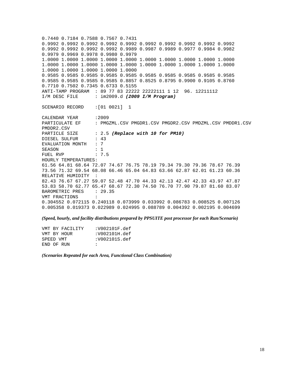0.7440 0.7184 0.7588 0.7567 0.7431 0.9992 0.9992 0.9992 0.9992 0.9992 0.9992 0.9992 0.9992 0.9992 0.9992 0.9992 0.9992 0.9992 0.9992 0.9989 0.9987 0.9989 0.9977 0.9984 0.9982 0.9979 0.9969 0.9978 0.9980 0.9979 1.0000 1.0000 1.0000 1.0000 1.0000 1.0000 1.0000 1.0000 1.0000 1.0000 1.0000 1.0000 1.0000 1.0000 1.0000 1.0000 1.0000 1.0000 1.0000 1.0000 1.0000 1.0000 1.0000 1.0000 1.0000 0.9585 0.9585 0.9585 0.9585 0.9585 0.9585 0.9585 0.9585 0.9585 0.9585 0.9585 0.9585 0.9585 0.9585 0.8857 0.8525 0.8795 0.9900 0.9105 0.8760 0.7710 0.7502 0.7345 0.6733 0.5155 ANTI-TAMP PROGRAM : 89 77 83 22222 22222111 1 12 96. 12211112 I/M DESC FILE : im2009.d *(2009 I/M Program)* SCENARIO RECORD :[01 0021] 1 CALENDAR YEAR : 2009 PARTICULATE EF : PMGZML.CSV PMGDR1.CSV PMGDR2.CSV PMDZML.CSV PMDDR1.CSV PMDDR2.CSV PARTICLE SIZE : 2.5 (Replace with 10 for PM10) DIESEL SULFUR : 43 EVALUATION MONTH : 7 SEASON : 1 FUEL RVP : 7.5 HOURLY TEMPERATURES: 61.56 64.81 68.64 72.07 74.67 76.75 78.19 79.34 79.30 79.36 78.67 76.39 73.56 71.32 69.54 68.08 66.46 65.04 64.83 63.66 62.87 62.01 61.23 60.36 RELATIVE HUMIDITY : 82.43 76.67 67.27 59.07 52.48 47.70 44.33 42.13 42.47 42.33 43.97 47.87 53.83 58.70 62.77 65.47 68.67 72.30 74.50 76.70 77.90 79.87 81.60 83.07 BAROMETRIC PRES : 29.35 VMT FRACTIONS : 0.304552 0.072115 0.240118 0.073999 0.033992 0.086783 0.008525 0.007126 0.005358 0.019373 0.022989 0.024995 0.088789 0.004392 0.002195 0.004699

*(Speed, hourly, and facility distributions prepared by PPSUITE post processor for each Run/Scenario)* 

| VMT BY FACILITY | :V002101F.def |
|-----------------|---------------|
| VMT BY HOUR     | :V002101H.def |
| SPEED VMT       | :V002101S.def |
| END OF RIN      | $\mathbf{r}$  |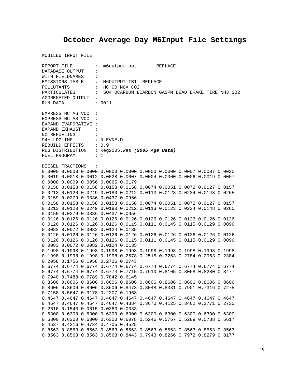# **October Average Day M6Input File Settings**

|                                   | REPORT FILE      |                                                 |                                        |  | m6output.out REPLACE |  |  |                                                                                           |                                                   |  |
|-----------------------------------|------------------|-------------------------------------------------|----------------------------------------|--|----------------------|--|--|-------------------------------------------------------------------------------------------|---------------------------------------------------|--|
| DATABASE OUTPUT<br>$\ddot{\cdot}$ |                  |                                                 |                                        |  |                      |  |  |                                                                                           |                                                   |  |
|                                   | WITH FIELDNAMES  | $\ddot{\cdot}$                                  |                                        |  |                      |  |  |                                                                                           |                                                   |  |
|                                   |                  |                                                 | EMISSIONS TABLE : M6OUTPUT.TB1 REPLACE |  |                      |  |  |                                                                                           |                                                   |  |
| POLLUTANTS                        |                  |                                                 | $\vdots$ HC CO NOX CO2                 |  |                      |  |  |                                                                                           |                                                   |  |
|                                   |                  | PARTICULATES :                                  |                                        |  |                      |  |  |                                                                                           | SO4 OCARBON ECARBON GASPM LEAD BRAKE TIRE NH3 SO2 |  |
|                                   |                  | AGGREGATED OUTPUT :                             |                                        |  |                      |  |  |                                                                                           |                                                   |  |
| RUN DATA                          |                  |                                                 | : 0021                                 |  |                      |  |  |                                                                                           |                                                   |  |
|                                   |                  |                                                 |                                        |  |                      |  |  |                                                                                           |                                                   |  |
|                                   |                  | EXPRESS HC AS VOC :                             |                                        |  |                      |  |  |                                                                                           |                                                   |  |
|                                   |                  | EXPRESS HC AS VOC :                             |                                        |  |                      |  |  |                                                                                           |                                                   |  |
|                                   |                  | EXPAND EVAPORATIVE :                            |                                        |  |                      |  |  |                                                                                           |                                                   |  |
|                                   | EXPAND EXHAUST   | <b>Contract</b>                                 |                                        |  |                      |  |  |                                                                                           |                                                   |  |
| NO REFUELING                      |                  |                                                 |                                        |  |                      |  |  |                                                                                           |                                                   |  |
|                                   |                  |                                                 |                                        |  |                      |  |  |                                                                                           |                                                   |  |
|                                   |                  | 94+ LDG IMP : NLEVNE.D                          |                                        |  |                      |  |  |                                                                                           |                                                   |  |
|                                   |                  | REBUILD EFFECTS : 0.9                           |                                        |  |                      |  |  |                                                                                           |                                                   |  |
|                                   |                  | REG DISTRIBUTION : Reg2005. Was (2005 Age Data) |                                        |  |                      |  |  |                                                                                           |                                                   |  |
| FUEL PROGRAM                      |                  |                                                 | $\therefore$ 1                         |  |                      |  |  |                                                                                           |                                                   |  |
|                                   |                  |                                                 |                                        |  |                      |  |  |                                                                                           |                                                   |  |
|                                   | DIESEL FRACTIONS | $\sim$ $\sim$                                   |                                        |  |                      |  |  |                                                                                           |                                                   |  |
|                                   |                  |                                                 |                                        |  |                      |  |  | $0.0000$ $0.0000$ $0.0000$ $0.0000$ $0.0000$ $0.0000$ $0.0000$ $0.0007$ $0.0007$ $0.0030$ |                                                   |  |
|                                   |                  |                                                 |                                        |  |                      |  |  | 0.0019 0.0018 0.0012 0.0028 0.0007 0.0004 0.0000 0.0006 0.0019 0.0007                     |                                                   |  |
|                                   |                  | 0.0008 0.0009 0.0056 0.0065 0.0179              |                                        |  |                      |  |  |                                                                                           |                                                   |  |
|                                   |                  |                                                 |                                        |  |                      |  |  | 0.0158 0.0158 0.0158 0.0158 0.0158 0.0074 0.0051 0.0072 0.0127 0.0157                     |                                                   |  |
|                                   |                  |                                                 |                                        |  |                      |  |  | 0.0213 0.0120 0.0249 0.0180 0.0212 0.0113 0.0123 0.0234 0.0148 0.0265                     |                                                   |  |
|                                   |                  | 0.0159 0.0279 0.0336 0.0437 0.0956              |                                        |  |                      |  |  |                                                                                           |                                                   |  |
|                                   |                  |                                                 |                                        |  |                      |  |  | 0.0158 0.0158 0.0158 0.0158 0.0158 0.0074 0.0051 0.0072 0.0127 0.0157                     |                                                   |  |
|                                   |                  |                                                 |                                        |  |                      |  |  | 0.0213 0.0120 0.0249 0.0180 0.0212 0.0113 0.0123 0.0234 0.0148 0.0265                     |                                                   |  |
|                                   |                  | 0.0159 0.0279 0.0336 0.0437 0.0956              |                                        |  |                      |  |  |                                                                                           |                                                   |  |
|                                   |                  |                                                 |                                        |  |                      |  |  | 0.0126 0.0126 0.0126 0.0126 0.0126 0.0126 0.0126 0.0126 0.0126 0.0126                     |                                                   |  |
|                                   |                  |                                                 |                                        |  |                      |  |  | 0.0126 0.0126 0.0126 0.0126 0.0115 0.0111 0.0145 0.0115 0.0129 0.0096                     |                                                   |  |
|                                   |                  | 0.0083 0.0072 0.0082 0.0124 0.0135              |                                        |  |                      |  |  |                                                                                           |                                                   |  |
|                                   |                  |                                                 |                                        |  |                      |  |  | 0.0126 0.0126 0.0126 0.0126 0.0126 0.0126 0.0126 0.0126 0.0126 0.0126                     |                                                   |  |
|                                   |                  |                                                 |                                        |  |                      |  |  | 0.0126 0.0126 0.0126 0.0126 0.0115 0.0111 0.0145 0.0115 0.0129 0.0096                     |                                                   |  |
|                                   |                  | 0.0083 0.0072 0.0082 0.0124 0.0135              |                                        |  |                      |  |  |                                                                                           |                                                   |  |
|                                   |                  |                                                 |                                        |  |                      |  |  | 0.1998 0.1998 0.1998 0.1998 0.1998 0.1998 0.1998 0.1998 0.1998 0.1998                     |                                                   |  |
|                                   |                  |                                                 |                                        |  |                      |  |  | 0.1998  0.1998  0.1998  0.1998  0.2578  0.2515  0.3263  0.2784  0.2963  0.2384            |                                                   |  |
|                                   |                  | 0.2058 0.1756 0.1958 0.2726 0.2743              |                                        |  |                      |  |  |                                                                                           |                                                   |  |
|                                   |                  |                                                 |                                        |  |                      |  |  | 0.6774 0.6774 0.6774 0.6774 0.6774 0.6774 0.6774 0.6774 0.6774 0.6774                     |                                                   |  |
|                                   |                  |                                                 |                                        |  |                      |  |  | 0.6774 0.6774 0.6774 0.6774 0.7715 0.7910 0.8105 0.8068 0.8280 0.8477                     |                                                   |  |
|                                   |                  | 0.7940 0.7488 0.7789 0.7842 0.6145              |                                        |  |                      |  |  |                                                                                           |                                                   |  |
|                                   |                  |                                                 |                                        |  |                      |  |  | 0.8606 0.8606 0.8606 0.8606 0.8606 0.8606 0.8606 0.8606 0.8606 0.8606                     |                                                   |  |
|                                   |                  |                                                 |                                        |  |                      |  |  | 0.8606 0.8606 0.8606 0.8606 0.8473 0.8048 0.8331 0.7901 0.7316 0.7275                     |                                                   |  |
|                                   |                  | 0.7158 0.5647 0.3178 0.2207 0.1968              |                                        |  |                      |  |  |                                                                                           |                                                   |  |
|                                   |                  |                                                 |                                        |  |                      |  |  | 0.4647 0.4647 0.4647 0.4647 0.4647 0.4647 0.4647 0.4647 0.4647 0.4647                     |                                                   |  |
|                                   |                  |                                                 |                                        |  |                      |  |  | 0.4647 0.4647 0.4647 0.4647 0.4384 0.3670 0.4125 0.3462 0.2771 0.2730                     |                                                   |  |
|                                   |                  | 0.2616 0.1543 0.0615 0.0383 0.0333              |                                        |  |                      |  |  |                                                                                           |                                                   |  |
|                                   |                  |                                                 |                                        |  |                      |  |  | 0.6300 0.6300 0.6300 0.6300 0.6300 0.6300 0.6300 0.6300 0.6300 0.6300                     |                                                   |  |
|                                   |                  |                                                 |                                        |  |                      |  |  | 0.6300 0.6300 0.6300 0.6300 0.6078 0.5246 0.5767 0.5289 0.5788 0.5617                     |                                                   |  |
|                                   |                  | 0.4537 0.4216 0.4734 0.4705 0.4525              |                                        |  |                      |  |  |                                                                                           |                                                   |  |
|                                   |                  |                                                 |                                        |  |                      |  |  | 0.8563 0.8563 0.8563 0.8563 0.8563 0.8563 0.8563 0.8563 0.8563 0.8563                     |                                                   |  |
|                                   |                  |                                                 |                                        |  |                      |  |  | 0.8563 0.8563 0.8563 0.8563 0.8443 0.7943 0.8266 0.7972 0.8279 0.8177                     |                                                   |  |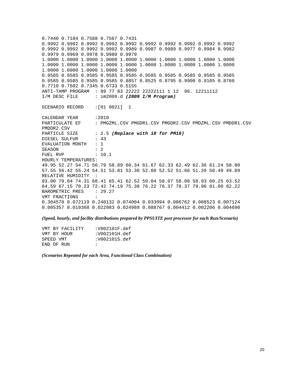0.7440 0.7184 0.7588 0.7567 0.7431 0.9992 0.9992 0.9992 0.9992 0.9992 0.9992 0.9992 0.9992 0.9992 0.9992 0.9992 0.9992 0.9992 0.9992 0.9989 0.9987 0.9989 0.9977 0.9984 0.9982 0.9979 0.9969 0.9978 0.9980 0.9979 1.0000 1.0000 1.0000 1.0000 1.0000 1.0000 1.0000 1.0000 1.0000 1.0000 1.0000 1.0000 1.0000 1.0000 1.0000 1.0000 1.0000 1.0000 1.0000 1.0000 1.0000 1.0000 1.0000 1.0000 1.0000 0.9585 0.9585 0.9585 0.9585 0.9585 0.9585 0.9585 0.9585 0.9585 0.9585 0.9585 0.9585 0.9585 0.9585 0.8857 0.8525 0.8795 0.9900 0.9105 0.8760 0.7710 0.7502 0.7345 0.6733 0.5155 ANTI-TAMP PROGRAM : 89 77 83 22222 22222111 1 12 96. 12211112 I/M DESC FILE : im2009.d *(2009 I/M Program)* SCENARIO RECORD :[01 0021] 1 CALENDAR YEAR : 2010 PARTICULATE EF : PMGZML.CSV PMGDR1.CSV PMGDR2.CSV PMDZML.CSV PMDDR1.CSV PMDDR2.CSV PARTICLE SIZE : 2.5 (Replace with 10 for PM10) DIESEL SULFUR : 43 EVALUATION MONTH : 1 SEASON : 2 FUEL RVP : 10.1 HOURLY TEMPERATURES: 49.95 52.27 54.71 56.79 58.89 60.34 61.67 62.33 62.49 62.36 61.24 58.80 57.55 56.42 55.24 54.51 53.81 53.38 52.60 52.52 51.66 51.20 50.49 49.89 RELATIVE HUMIDITY : 83.00 79.04 74.31 68.41 65.41 62.52 59.04 58.07 58.00 58.93 60.25 63.52 64.59 67.15 70.23 72.42 74.19 75.38 76.22 76.37 78.37 79.96 81.00 82.22 BAROMETRIC PRES : 29.27 VMT FRACTIONS : 0.304570 0.072119 0.240132 0.074004 0.033994 0.086762 0.008523 0.007124 0.005357 0.019368 0.022983 0.024989 0.088767 0.004412 0.002206 0.004690

*(Speed, hourly, and facility distributions prepared by PPSUITE post processor for each Run/Scenario)* 

| VMT BY FACILITY | :V002101F.def |
|-----------------|---------------|
| VMT BY HOUR     | :V002101H.def |
| SPEED VMT       | :V002101S.def |
| END OF RIN      | $\mathbf{r}$  |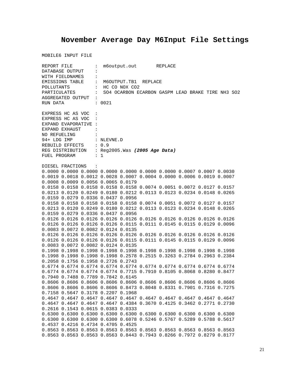# **November Average Day M6Input File Settings**

|                                         | REPORT FILE         |                                                 |                                        | m6output.out REPLACE |  |  |  |                                                                                |                                                   |  |
|-----------------------------------------|---------------------|-------------------------------------------------|----------------------------------------|----------------------|--|--|--|--------------------------------------------------------------------------------|---------------------------------------------------|--|
| DATABASE OUTPUT<br>$\ddot{\cdot}$       |                     |                                                 |                                        |                      |  |  |  |                                                                                |                                                   |  |
| WITH FIELDNAMES<br>$\ddot{\phantom{a}}$ |                     |                                                 |                                        |                      |  |  |  |                                                                                |                                                   |  |
|                                         |                     |                                                 | EMISSIONS TABLE : M6OUTPUT.TB1 REPLACE |                      |  |  |  |                                                                                |                                                   |  |
| POLLUTANTS                              |                     |                                                 |                                        | : HC CO NOX CO2      |  |  |  |                                                                                |                                                   |  |
|                                         | PARTICULATES        | $\mathbf{1}$ , $\mathbf{1}$                     |                                        |                      |  |  |  |                                                                                | SO4 OCARBON ECARBON GASPM LEAD BRAKE TIRE NH3 SO2 |  |
|                                         |                     | AGGREGATED OUTPUT :                             |                                        |                      |  |  |  |                                                                                |                                                   |  |
| RUN DATA                                |                     |                                                 | : 0021                                 |                      |  |  |  |                                                                                |                                                   |  |
|                                         |                     |                                                 |                                        |                      |  |  |  |                                                                                |                                                   |  |
|                                         | EXPRESS HC AS VOC : |                                                 |                                        |                      |  |  |  |                                                                                |                                                   |  |
|                                         | EXPRESS HC AS VOC : |                                                 |                                        |                      |  |  |  |                                                                                |                                                   |  |
|                                         |                     | EXPAND EVAPORATIVE :                            |                                        |                      |  |  |  |                                                                                |                                                   |  |
|                                         | EXPAND EXHAUST      | $\sim$ $\sim$ $\sim$ $\sim$                     |                                        |                      |  |  |  |                                                                                |                                                   |  |
|                                         | NO REFUELING :      |                                                 |                                        |                      |  |  |  |                                                                                |                                                   |  |
|                                         |                     | 94+ LDG IMP : NLEVNE.D                          |                                        |                      |  |  |  |                                                                                |                                                   |  |
|                                         |                     | REBUILD EFFECTS : 0.9                           |                                        |                      |  |  |  |                                                                                |                                                   |  |
|                                         |                     | REG DISTRIBUTION : Reg2005. Was (2005 Age Data) |                                        |                      |  |  |  |                                                                                |                                                   |  |
| FUEL PROGRAM                            |                     |                                                 | $\therefore$ 1                         |                      |  |  |  |                                                                                |                                                   |  |
|                                         |                     |                                                 |                                        |                      |  |  |  |                                                                                |                                                   |  |
|                                         | DIESEL FRACTIONS    | $\sim$ $\sim$                                   |                                        |                      |  |  |  |                                                                                |                                                   |  |
|                                         |                     |                                                 |                                        |                      |  |  |  | $0.0000$ 0.0000 0.0000 0.0000 0.0000 0.0000 0.0000 0.0007 0.0007 0.0030        |                                                   |  |
|                                         |                     |                                                 |                                        |                      |  |  |  | 0.0019 0.0018 0.0012 0.0028 0.0007 0.0004 0.0000 0.0006 0.0019 0.0007          |                                                   |  |
|                                         |                     | 0.0008 0.0009 0.0056 0.0065 0.0179              |                                        |                      |  |  |  |                                                                                |                                                   |  |
|                                         |                     |                                                 |                                        |                      |  |  |  | 0.0158 0.0158 0.0158 0.0158 0.0158 0.0074 0.0051 0.0072 0.0127 0.0157          |                                                   |  |
|                                         |                     |                                                 |                                        |                      |  |  |  | 0.0213 0.0120 0.0249 0.0180 0.0212 0.0113 0.0123 0.0234 0.0148 0.0265          |                                                   |  |
|                                         |                     |                                                 |                                        |                      |  |  |  |                                                                                |                                                   |  |
|                                         |                     | 0.0159 0.0279 0.0336 0.0437 0.0956              |                                        |                      |  |  |  |                                                                                |                                                   |  |
|                                         |                     |                                                 |                                        |                      |  |  |  | 0.0158 0.0158 0.0158 0.0158 0.0158 0.0074 0.0051 0.0072 0.0127 0.0157          |                                                   |  |
|                                         |                     |                                                 |                                        |                      |  |  |  | 0.0213 0.0120 0.0249 0.0180 0.0212 0.0113 0.0123 0.0234 0.0148 0.0265          |                                                   |  |
|                                         |                     | 0.0159 0.0279 0.0336 0.0437 0.0956              |                                        |                      |  |  |  |                                                                                |                                                   |  |
|                                         |                     |                                                 |                                        |                      |  |  |  | 0.0126 0.0126 0.0126 0.0126 0.0126 0.0126 0.0126 0.0126 0.0126 0.0126          |                                                   |  |
|                                         |                     |                                                 |                                        |                      |  |  |  | 0.0126 0.0126 0.0126 0.0126 0.0115 0.0111 0.0145 0.0115 0.0129 0.0096          |                                                   |  |
|                                         |                     | 0.0083 0.0072 0.0082 0.0124 0.0135              |                                        |                      |  |  |  |                                                                                |                                                   |  |
|                                         |                     |                                                 |                                        |                      |  |  |  | 0.0126 0.0126 0.0126 0.0126 0.0126 0.0126 0.0126 0.0126 0.0126 0.0126          |                                                   |  |
|                                         |                     |                                                 |                                        |                      |  |  |  | 0.0126 0.0126 0.0126 0.0126 0.0115 0.0111 0.0145 0.0115 0.0129 0.0096          |                                                   |  |
|                                         |                     | 0.0083 0.0072 0.0082 0.0124 0.0135              |                                        |                      |  |  |  |                                                                                |                                                   |  |
|                                         |                     |                                                 |                                        |                      |  |  |  | 0.1998 0.1998 0.1998 0.1998 0.1998 0.1998 0.1998 0.1998 0.1998 0.1998          |                                                   |  |
|                                         |                     |                                                 |                                        |                      |  |  |  | 0.1998  0.1998  0.1998  0.1998  0.2578  0.2515  0.3263  0.2784  0.2963  0.2384 |                                                   |  |
|                                         |                     | 0.2058 0.1756 0.1958 0.2726 0.2743              |                                        |                      |  |  |  |                                                                                |                                                   |  |
|                                         |                     |                                                 |                                        |                      |  |  |  | 0.6774 0.6774 0.6774 0.6774 0.6774 0.6774 0.6774 0.6774 0.6774 0.6774          |                                                   |  |
|                                         |                     |                                                 |                                        |                      |  |  |  | 0.6774 0.6774 0.6774 0.6774 0.7715 0.7910 0.8105 0.8068 0.8280 0.8477          |                                                   |  |
|                                         |                     | 0.7940 0.7488 0.7789 0.7842 0.6145              |                                        |                      |  |  |  |                                                                                |                                                   |  |
|                                         |                     |                                                 |                                        |                      |  |  |  | 0.8606 0.8606 0.8606 0.8606 0.8606 0.8606 0.8606 0.8606 0.8606 0.8606          |                                                   |  |
|                                         |                     |                                                 |                                        |                      |  |  |  | 0.8606 0.8606 0.8606 0.8606 0.8473 0.8048 0.8331 0.7901 0.7316 0.7275          |                                                   |  |
|                                         |                     | 0.7158 0.5647 0.3178 0.2207 0.1968              |                                        |                      |  |  |  |                                                                                |                                                   |  |
|                                         |                     |                                                 |                                        |                      |  |  |  | 0.4647 0.4647 0.4647 0.4647 0.4647 0.4647 0.4647 0.4647 0.4647 0.4647          |                                                   |  |
|                                         |                     |                                                 |                                        |                      |  |  |  | 0.4647 0.4647 0.4647 0.4647 0.4384 0.3670 0.4125 0.3462 0.2771 0.2730          |                                                   |  |
|                                         |                     | 0.2616 0.1543 0.0615 0.0383 0.0333              |                                        |                      |  |  |  |                                                                                |                                                   |  |
|                                         |                     |                                                 |                                        |                      |  |  |  | 0.6300 0.6300 0.6300 0.6300 0.6300 0.6300 0.6300 0.6300 0.6300 0.6300          |                                                   |  |
|                                         |                     |                                                 |                                        |                      |  |  |  | 0.6300 0.6300 0.6300 0.6300 0.6078 0.5246 0.5767 0.5289 0.5788 0.5617          |                                                   |  |
|                                         |                     | 0.4537 0.4216 0.4734 0.4705 0.4525              |                                        |                      |  |  |  |                                                                                |                                                   |  |
|                                         |                     |                                                 |                                        |                      |  |  |  | 0.8563 0.8563 0.8563 0.8563 0.8563 0.8563 0.8563 0.8563 0.8563 0.8563          |                                                   |  |
|                                         |                     |                                                 |                                        |                      |  |  |  | 0.8563 0.8563 0.8563 0.8563 0.8443 0.7943 0.8266 0.7972 0.8279 0.8177          |                                                   |  |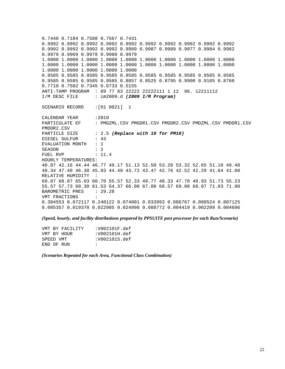0.7440 0.7184 0.7588 0.7567 0.7431 0.9992 0.9992 0.9992 0.9992 0.9992 0.9992 0.9992 0.9992 0.9992 0.9992 0.9992 0.9992 0.9992 0.9992 0.9989 0.9987 0.9989 0.9977 0.9984 0.9982 0.9979 0.9969 0.9978 0.9980 0.9979 1.0000 1.0000 1.0000 1.0000 1.0000 1.0000 1.0000 1.0000 1.0000 1.0000 1.0000 1.0000 1.0000 1.0000 1.0000 1.0000 1.0000 1.0000 1.0000 1.0000 1.0000 1.0000 1.0000 1.0000 1.0000 0.9585 0.9585 0.9585 0.9585 0.9585 0.9585 0.9585 0.9585 0.9585 0.9585 0.9585 0.9585 0.9585 0.9585 0.8857 0.8525 0.8795 0.9900 0.9105 0.8760 0.7710 0.7502 0.7345 0.6733 0.5155 ANTI-TAMP PROGRAM : 89 77 83 22222 22222111 1 12 96. 12211112 I/M DESC FILE : im2009.d *(2009 I/M Program)* SCENARIO RECORD :[01 0021] 1 CALENDAR YEAR : 2010 PARTICULATE EF : PMGZML.CSV PMGDR1.CSV PMGDR2.CSV PMDZML.CSV PMDDR1.CSV PMDDR2.CSV PARTICLE SIZE : 2.5 (Replace with 10 for PM10) DIESEL SULFUR : 43 EVALUATION MONTH : 1 SEASON : 2 FUEL RVP : 11.4 HOURLY TEMPERATURES: 40.87 42.16 44.44 46.77 49.17 51.13 52.50 53.20 53.32 52.65 51.10 49.48 48.34 47.40 46.30 45.93 44.49 43.72 43.47 42.76 42.52 42.29 41.64 41.00 RELATIVE HUMIDITY : 69.87 68.07 65.03 60.70 55.57 52.33 49.77 48.33 47.70 48.93 51.73 55.23 55.57 57.73 60.30 61.53 64.37 66.00 67.00 68.57 69.00 68.87 71.03 71.90 BAROMETRIC PRES : 29.28 VMT FRACTIONS : 0.304553 0.072117 0.240122 0.074001 0.033993 0.086767 0.008524 0.007125 0.005357 0.019370 0.022985 0.024990 0.088772 0.004419 0.002209 0.004696

*(Speed, hourly, and facility distributions prepared by PPSUITE post processor for each Run/Scenario)* 

| VMT BY FACILITY | :V002101F.def |
|-----------------|---------------|
| VMT BY HOUR     | :V002101H.def |
| SPEED VMT       | :V002101S.def |
| END OF RUN      | $\cdot$ :     |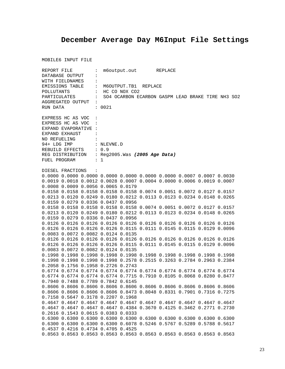# **December Average Day M6Input File Settings**

| REPORT FILE<br>DATABASE OUTPUT<br>$\ddot{\phantom{a}}$ |                     |                                                                                             | m6output.out REPLACE |  |  |  |  |  |                                                   |  |
|--------------------------------------------------------|---------------------|---------------------------------------------------------------------------------------------|----------------------|--|--|--|--|--|---------------------------------------------------|--|
|                                                        |                     |                                                                                             |                      |  |  |  |  |  |                                                   |  |
| WITH FIELDNAMES<br>EMISSIONS TABLE :                   |                     |                                                                                             |                      |  |  |  |  |  |                                                   |  |
|                                                        |                     |                                                                                             | M6OUTPUT.TB1 REPLACE |  |  |  |  |  |                                                   |  |
| POLLUTANTS                                             |                     |                                                                                             | : HC CO NOX CO2      |  |  |  |  |  |                                                   |  |
|                                                        | PARTICULATES        | $\mathbf{1}$                                                                                |                      |  |  |  |  |  | SO4 OCARBON ECARBON GASPM LEAD BRAKE TIRE NH3 SO2 |  |
|                                                        | AGGREGATED OUTPUT   | $\sim 100$                                                                                  |                      |  |  |  |  |  |                                                   |  |
| RUN DATA                                               |                     |                                                                                             | : 0021               |  |  |  |  |  |                                                   |  |
|                                                        | EXPRESS HC AS VOC : |                                                                                             |                      |  |  |  |  |  |                                                   |  |
|                                                        |                     | EXPRESS HC AS VOC :                                                                         |                      |  |  |  |  |  |                                                   |  |
|                                                        |                     | EXPAND EVAPORATIVE :                                                                        |                      |  |  |  |  |  |                                                   |  |
|                                                        | EXPAND EXHAUST      |                                                                                             |                      |  |  |  |  |  |                                                   |  |
| NO REFUELING                                           |                     |                                                                                             |                      |  |  |  |  |  |                                                   |  |
|                                                        |                     | 94+ LDG IMP : NLEVNE.D                                                                      |                      |  |  |  |  |  |                                                   |  |
|                                                        |                     |                                                                                             |                      |  |  |  |  |  |                                                   |  |
|                                                        |                     |                                                                                             |                      |  |  |  |  |  |                                                   |  |
|                                                        |                     | REBUILD EFFECTS : 0.9<br>REG DISTRIBUTION : Reg2005.Was (2005 Age Data)<br>FUEL PROGRAM : 1 |                      |  |  |  |  |  |                                                   |  |
|                                                        |                     |                                                                                             |                      |  |  |  |  |  |                                                   |  |
|                                                        | DIESEL FRACTIONS    | $\sim$ :                                                                                    |                      |  |  |  |  |  |                                                   |  |
|                                                        |                     | $0.0000$ 0.0000 0.0000 0.0000 0.0000 0.0000 0.0000 0.0007 0.0007 0.0030                     |                      |  |  |  |  |  |                                                   |  |
|                                                        |                     | 0.0019 0.0018 0.0012 0.0028 0.0007 0.0004 0.0000 0.0006 0.0019 0.0007                       |                      |  |  |  |  |  |                                                   |  |
|                                                        |                     | 0.0008 0.0009 0.0056 0.0065 0.0179                                                          |                      |  |  |  |  |  |                                                   |  |
|                                                        |                     | 0.0158 0.0158 0.0158 0.0158 0.0158 0.0074 0.0051 0.0072 0.0127 0.0157                       |                      |  |  |  |  |  |                                                   |  |
|                                                        |                     | 0.0213 0.0120 0.0249 0.0180 0.0212 0.0113 0.0123 0.0234 0.0148 0.0265                       |                      |  |  |  |  |  |                                                   |  |
|                                                        |                     | 0.0159 0.0279 0.0336 0.0437 0.0956                                                          |                      |  |  |  |  |  |                                                   |  |
|                                                        |                     | 0.0158 0.0158 0.0158 0.0158 0.0158 0.0074 0.0051 0.0072 0.0127 0.0157                       |                      |  |  |  |  |  |                                                   |  |
|                                                        |                     | 0.0213 0.0120 0.0249 0.0180 0.0212 0.0113 0.0123 0.0234 0.0148 0.0265                       |                      |  |  |  |  |  |                                                   |  |
|                                                        |                     | 0.0159 0.0279 0.0336 0.0437 0.0956                                                          |                      |  |  |  |  |  |                                                   |  |
|                                                        |                     | 0.0126 0.0126 0.0126 0.0126 0.0126 0.0126 0.0126 0.0126 0.0126 0.0126                       |                      |  |  |  |  |  |                                                   |  |
|                                                        |                     | 0.0126 0.0126 0.0126 0.0126 0.0115 0.0111 0.0145 0.0115 0.0129 0.0096                       |                      |  |  |  |  |  |                                                   |  |
|                                                        |                     | 0.0083 0.0072 0.0082 0.0124 0.0135                                                          |                      |  |  |  |  |  |                                                   |  |
|                                                        |                     | 0.0126 0.0126 0.0126 0.0126 0.0126 0.0126 0.0126 0.0126 0.0126 0.0126                       |                      |  |  |  |  |  |                                                   |  |
|                                                        |                     | 0.0126 0.0126 0.0126 0.0126 0.0115 0.0111 0.0145 0.0115 0.0129 0.0096                       |                      |  |  |  |  |  |                                                   |  |
|                                                        |                     | 0.0083 0.0072 0.0082 0.0124 0.0135                                                          |                      |  |  |  |  |  |                                                   |  |
|                                                        |                     | 0.1998 0.1998 0.1998 0.1998 0.1998 0.1998 0.1998 0.1998 0.1998 0.1998                       |                      |  |  |  |  |  |                                                   |  |
|                                                        |                     | 0.1998 0.1998 0.1998 0.1998 0.2578 0.2515 0.3263 0.2784 0.2963 0.2384                       |                      |  |  |  |  |  |                                                   |  |
|                                                        |                     | 0.2058 0.1756 0.1958 0.2726 0.2743                                                          |                      |  |  |  |  |  |                                                   |  |
|                                                        |                     | 0.6774 0.6774 0.6774 0.6774 0.6774 0.6774 0.6774 0.6774 0.6774 0.6774                       |                      |  |  |  |  |  |                                                   |  |
|                                                        |                     | 0.6774 0.6774 0.6774 0.6774 0.7715 0.7910 0.8105 0.8068 0.8280 0.8477                       |                      |  |  |  |  |  |                                                   |  |
|                                                        |                     | 0.7940 0.7488 0.7789 0.7842 0.6145                                                          |                      |  |  |  |  |  |                                                   |  |
|                                                        |                     | 0.8606 0.8606 0.8606 0.8606 0.8606 0.8606 0.8606 0.8606 0.8606 0.8606                       |                      |  |  |  |  |  |                                                   |  |
|                                                        |                     | 0.8606 0.8606 0.8606 0.8606 0.8473 0.8048 0.8331 0.7901 0.7316 0.7275                       |                      |  |  |  |  |  |                                                   |  |
|                                                        |                     | 0.7158 0.5647 0.3178 0.2207 0.1968                                                          |                      |  |  |  |  |  |                                                   |  |
|                                                        |                     | 0.4647 0.4647 0.4647 0.4647 0.4647 0.4647 0.4647 0.4647 0.4647 0.4647                       |                      |  |  |  |  |  |                                                   |  |
|                                                        |                     |                                                                                             |                      |  |  |  |  |  |                                                   |  |
|                                                        |                     | 0.4647 0.4647 0.4647 0.4647 0.4384 0.3670 0.4125 0.3462 0.2771 0.2730                       |                      |  |  |  |  |  |                                                   |  |
|                                                        |                     | 0.2616 0.1543 0.0615 0.0383 0.0333                                                          |                      |  |  |  |  |  |                                                   |  |
|                                                        |                     | 0.6300 0.6300 0.6300 0.6300 0.6300 0.6300 0.6300 0.6300 0.6300 0.6300                       |                      |  |  |  |  |  |                                                   |  |
|                                                        |                     | 0.6300 0.6300 0.6300 0.6300 0.6078 0.5246 0.5767 0.5289 0.5788 0.5617                       |                      |  |  |  |  |  |                                                   |  |
|                                                        |                     | 0.4537 0.4216 0.4734 0.4705 0.4525                                                          |                      |  |  |  |  |  |                                                   |  |
|                                                        |                     | 0.8563 0.8563 0.8563 0.8563 0.8563 0.8563 0.8563 0.8563 0.8563 0.8563                       |                      |  |  |  |  |  |                                                   |  |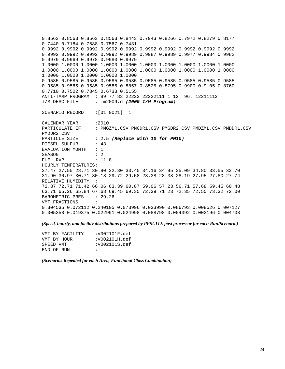0.8563 0.8563 0.8563 0.8563 0.8443 0.7943 0.8266 0.7972 0.8279 0.8177 0.7440 0.7184 0.7588 0.7567 0.7431 0.9992 0.9992 0.9992 0.9992 0.9992 0.9992 0.9992 0.9992 0.9992 0.9992 0.9992 0.9992 0.9992 0.9992 0.9989 0.9987 0.9989 0.9977 0.9984 0.9982 0.9979 0.9969 0.9978 0.9980 0.9979 1.0000 1.0000 1.0000 1.0000 1.0000 1.0000 1.0000 1.0000 1.0000 1.0000 1.0000 1.0000 1.0000 1.0000 1.0000 1.0000 1.0000 1.0000 1.0000 1.0000 1.0000 1.0000 1.0000 1.0000 1.0000 0.9585 0.9585 0.9585 0.9585 0.9585 0.9585 0.9585 0.9585 0.9585 0.9585 0.9585 0.9585 0.9585 0.9585 0.8857 0.8525 0.8795 0.9900 0.9105 0.8760 0.7710 0.7502 0.7345 0.6733 0.5155 ANTI-TAMP PROGRAM : 89 77 83 22222 22222111 1 12 96. 12211112 I/M DESC FILE : im2009.d *(2009 I/M Program)* SCENARIO RECORD :[01 0021] 1 CALENDAR YEAR :2010<br>PARTICULATE EF : PMG : PMGZML.CSV PMGDR1.CSV PMGDR2.CSV PMDZML.CSV PMDDR1.CSV PMDDR2.CSV PARTICLE SIZE : 2.5 *(Replace with 10 for PM10)* DIESEL SULFUR : 43 EVALUATION MONTH : 1 SEASON : 2 FUEL RVP : 11.8 HOURLY TEMPERATURES: 27.47 27.55 28.71 30.90 32.30 33.45 34.16 34.95 35.09 34.80 33.55 32.70 31.90 30.97 30.71 30.18 29.72 29.58 28.38 28.38 28.19 27.95 27.80 27.74 RELATIVE HUMIDITY : 72.87 72.71 71.42 66.06 63.39 60.87 59.06 57.23 56.71 57.68 59.45 60.48 63.71 65.26 65.84 67.68 69.45 69.35 72.39 71.23 72.35 72.55 73.32 72.00 BAROMETRIC PRES : 29.26 VMT FRACTIONS : 0.304535 0.072112 0.240105 0.073996 0.033990 0.086793 0.008526 0.007127 0.005358 0.019375 0.022991 0.024998 0.088798 0.004392 0.002196 0.004708

*(Speed, hourly, and facility distributions prepared by PPSUITE post processor for each Run/Scenario)* 

| VMT BY FACILITY | :V002101F.def |
|-----------------|---------------|
| VMT BY HOUR     | :V002101H.def |
| SPEED VMT       | :V002101S.def |
| END OF RUN      | $\cdot$ :     |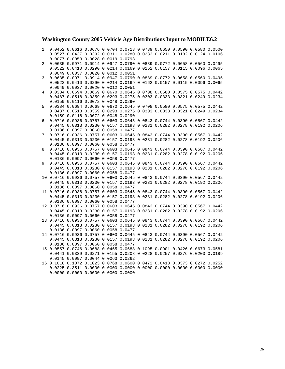#### **Washington County 2005 Vehicle Age Distributions Input to MOBILE6.2**

1 0.0452 0.0616 0.0676 0.0704 0.0718 0.0739 0.0650 0.0590 0.0580 0.0500 0.0527 0.0437 0.0392 0.0311 0.0280 0.0233 0.0211 0.0182 0.0124 0.0106 0.0077 0.0053 0.0028 0.0019 0.0793 2 0.0635 0.0971 0.0914 0.0947 0.0790 0.0889 0.0772 0.0658 0.0560 0.0495 0.0522 0.0410 0.0290 0.0214 0.0169 0.0162 0.0157 0.0115 0.0096 0.0065 0.0049 0.0037 0.0020 0.0012 0.0051 3 0.0635 0.0971 0.0914 0.0947 0.0790 0.0889 0.0772 0.0658 0.0560 0.0495 0.0522 0.0410 0.0290 0.0214 0.0169 0.0162 0.0157 0.0115 0.0096 0.0065 0.0049 0.0037 0.0020 0.0012 0.0051 4 0.0384 0.0694 0.0669 0.0670 0.0645 0.0708 0.0580 0.0575 0.0575 0.0442 0.0487 0.0518 0.0359 0.0293 0.0275 0.0303 0.0333 0.0321 0.0249 0.0234 0.0159 0.0116 0.0072 0.0048 0.0290 5 0.0384 0.0694 0.0669 0.0670 0.0645 0.0708 0.0580 0.0575 0.0575 0.0442 0.0487 0.0518 0.0359 0.0293 0.0275 0.0303 0.0333 0.0321 0.0249 0.0234 0.0159 0.0116 0.0072 0.0048 0.0290 6 0.0716 0.0936 0.0757 0.0603 0.0645 0.0843 0.0744 0.0390 0.0567 0.0442 0.0445 0.0313 0.0230 0.0157 0.0193 0.0231 0.0282 0.0278 0.0192 0.0206 0.0136 0.0097 0.0060 0.0058 0.0477 7 0.0716 0.0936 0.0757 0.0603 0.0645 0.0843 0.0744 0.0390 0.0567 0.0442 0.0445 0.0313 0.0230 0.0157 0.0193 0.0231 0.0282 0.0278 0.0192 0.0206 0.0136 0.0097 0.0060 0.0058 0.0477 8 0.0716 0.0936 0.0757 0.0603 0.0645 0.0843 0.0744 0.0390 0.0567 0.0442 0.0445 0.0313 0.0230 0.0157 0.0193 0.0231 0.0282 0.0278 0.0192 0.0206 0.0136 0.0097 0.0060 0.0058 0.0477 9 0.0716 0.0936 0.0757 0.0603 0.0645 0.0843 0.0744 0.0390 0.0567 0.0442 0.0445 0.0313 0.0230 0.0157 0.0193 0.0231 0.0282 0.0278 0.0192 0.0206 0.0136 0.0097 0.0060 0.0058 0.0477 10 0.0716 0.0936 0.0757 0.0603 0.0645 0.0843 0.0744 0.0390 0.0567 0.0442 0.0445 0.0313 0.0230 0.0157 0.0193 0.0231 0.0282 0.0278 0.0192 0.0206 0.0136 0.0097 0.0060 0.0058 0.0477 11 0.0716 0.0936 0.0757 0.0603 0.0645 0.0843 0.0744 0.0390 0.0567 0.0442 0.0445 0.0313 0.0230 0.0157 0.0193 0.0231 0.0282 0.0278 0.0192 0.0206 0.0136 0.0097 0.0060 0.0058 0.0477 12 0.0716 0.0936 0.0757 0.0603 0.0645 0.0843 0.0744 0.0390 0.0567 0.0442 0.0445 0.0313 0.0230 0.0157 0.0193 0.0231 0.0282 0.0278 0.0192 0.0206 0.0136 0.0097 0.0060 0.0058 0.0477 13 0.0716 0.0936 0.0757 0.0603 0.0645 0.0843 0.0744 0.0390 0.0567 0.0442 0.0445 0.0313 0.0230 0.0157 0.0193 0.0231 0.0282 0.0278 0.0192 0.0206 0.0136 0.0097 0.0060 0.0058 0.0477 14 0.0716 0.0936 0.0757 0.0603 0.0645 0.0843 0.0744 0.0390 0.0567 0.0442 0.0445 0.0313 0.0230 0.0157 0.0193 0.0231 0.0282 0.0278 0.0192 0.0206 0.0136 0.0097 0.0060 0.0058 0.0477 15 0.0557 0.0746 0.0688 0.0465 0.0688 0.1095 0.0901 0.0426 0.0673 0.0581 0.0441 0.0339 0.0271 0.0155 0.0208 0.0228 0.0257 0.0276 0.0203 0.0189 0.0145 0.0097 0.0044 0.0063 0.0262 16 0.1018 0.1072 0.1023 0.0768 0.0600 0.0472 0.0413 0.0373 0.0272 0.0252 0.0225 0.3511 0.0000 0.0000 0.0000 0.0000 0.0000 0.0000 0.0000 0.0000 0.0000 0.0000 0.0000 0.0000 0.0000